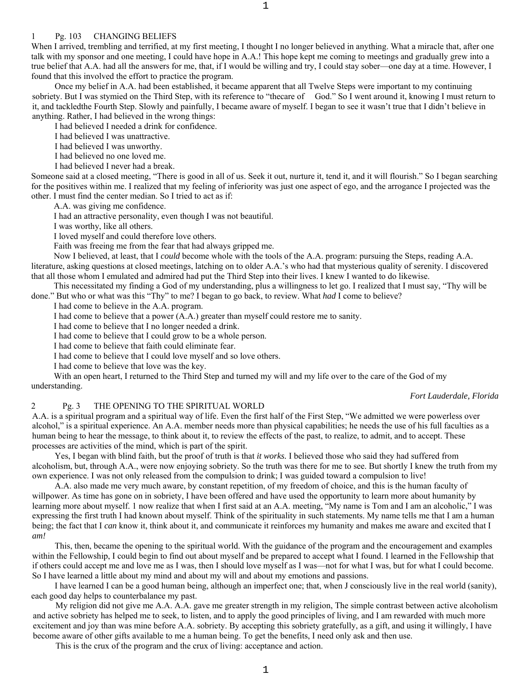## 1 Pg. 103 CHANGING BELIEFS

When I arrived, trembling and terrified, at my first meeting, I thought I no longer believed in anything. What a miracle that, after one talk with my sponsor and one meeting, I could have hope in A.A.! This hope kept me coming to meetings and gradually grew into a true belief that A.A. had all the answers for me, that, if I would be willing and try, I could stay sober—one day at a time. However, I found that this involved the effort to practice the program.

1

Once my belief in A.A. had been established, it became apparent that all Twelve Steps were important to my continuing sobriety. But I was stymied on the Third Step, with its reference to "thecare of God." So I went around it, knowing I must return to it, and tackledthe Fourth Step. Slowly and painfully, I became aware of myself. I began to see it wasn't true that I didn't believe in anything. Rather, I had believed in the wrong things:

I had believed I needed a drink for confidence.

I had believed I was unattractive.

I had believed I was unworthy.

I had believed no one loved me.

I had believed I never had a break.

Someone said at a closed meeting, "There is good in all of us. Seek it out, nurture it, tend it, and it will flourish." So I began searching for the positives within me. I realized that my feeling of inferiority was just one aspect of ego, and the arrogance I projected was the other. I must find the center median. So I tried to act as if:

A.A. was giving me confidence.

I had an attractive personality, even though I was not beautiful.

I was worthy, like all others.

I loved myself and could therefore love others.

Faith was freeing me from the fear that had always gripped me.

Now I believed, at least, that I *could* become whole with the tools of the A.A. program: pursuing the Steps, reading A.A. literature, asking questions at closed meetings, latching on to older A.A.'s who had that mysterious quality of serenity. I discovered that all those whom I emulated and admired had put the Third Step into their lives. I knew I wanted to do likewise.

This necessitated my finding a God of my understanding, plus a willingness to let go. I realized that I must say, "Thy will be done." But who or what was this "Thy" to me? I began to go back, to review. What *had* I come to believe?

I had come to believe in the A.A. program.

I had come to believe that a power (A.A.) greater than myself could restore me to sanity.

I had come to believe that I no longer needed a drink.

I had come to believe that I could grow to be a whole person.

I had come to believe that faith could eliminate fear.

I had come to believe that I could love myself and so love others.

I had come to believe that love was the key.

With an open heart, I returned to the Third Step and turned my will and my life over to the care of the God of my understanding.

### *Fort Lauderdale, Florida*

## 2 Pg. 3 THE OPENING TO THE SPIRITUAL WORLD

A.A. is a spiritual program and a spiritual way of life. Even the first half of the First Step, "We admitted we were powerless over alcohol," is a spiritual experience. An A.A. member needs more than physical capabilities; he needs the use of his full faculties as a human being to hear the message, to think about it, to review the effects of the past, to realize, to admit, and to accept. These processes are activities of the mind, which is part of the spirit.

Yes, I began with blind faith, but the proof of truth is that *it works.* I believed those who said they had suffered from alcoholism, but, through A.A., were now enjoying sobriety. So the truth was there for me to see. But shortly I knew the truth from my own experience. I was not only released from the compulsion to drink; I was guided toward a compulsion to live!

A.A. also made me very much aware, by constant repetition, of my freedom of choice, and this is the human faculty of willpower. As time has gone on in sobriety, I have been offered and have used the opportunity to learn more about humanity by learning more about myself. 1 now realize that when I first said at an A.A. meeting, "My name is Tom and I am an alcoholic," I was expressing the first truth I had known about myself. Think of the spirituality in such statements. My name tells me that I am a human being; the fact that I *can* know it, think about it, and communicate it reinforces my humanity and makes me aware and excited that I *am!*

This, then, became the opening to the spiritual world. With the guidance of the program and the encouragement and examples within the Fellowship, I could begin to find out about myself and be prepared to accept what I found. I learned in the Fellowship that if others could accept me and love me as I was, then I should love myself as I was—not for what I was, but for what I could become. So I have learned a little about my mind and about my will and about my emotions and passions.

I have learned I can be a good human being, although an imperfect one; that, when J consciously live in the real world (sanity), each good day helps to counterbalance my past.

My religion did not give me A.A. A.A. gave me greater strength in my religion, The simple contrast between active alcoholism and active sobriety has helped me to seek, to listen, and to apply the good principles of living, and I am rewarded with much more excitement and joy than was mine before A.A. sobriety. By accepting this sobriety gratefully, as a gift, and using it willingly, I have become aware of other gifts available to me a human being. To get the benefits, I need only ask and then use.

1

This is the crux of the program and the crux of living: acceptance and action.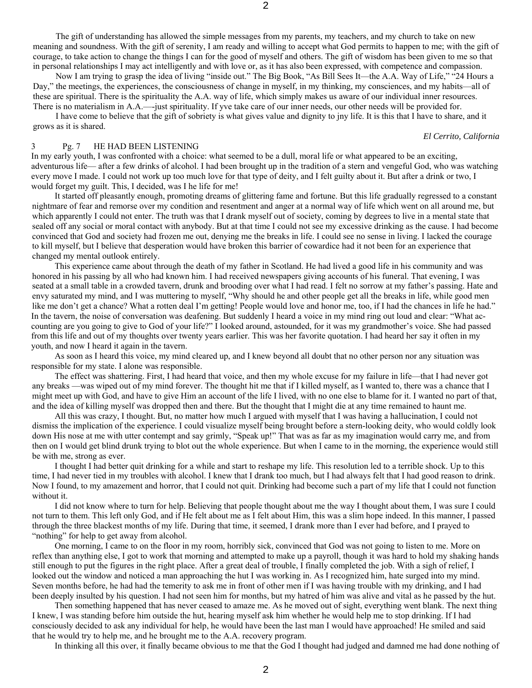The gift of understanding has allowed the simple messages from my parents, my teachers, and my church to take on new meaning and soundness. With the gift of serenity, I am ready and willing to accept what God permits to happen to me; with the gift of courage, to take action to change the things I can for the good of myself and others. The gift of wisdom has been given to me so that in personal relationships I may act intelligently and with love or, as it has also been expressed, with competence and compassion.

Now I am trying to grasp the idea of living "inside out." The Big Book, "As Bill Sees It—the A.A. Way of Life," "24 Hours a Day," the meetings, the experiences, the consciousness of change in myself, in my thinking, my consciences, and my habits—all of these are spiritual. There is the spirituality the A.A. way of life, which simply makes us aware of our individual inner resources. There is no materialism in A.A.—-just spirituality. If yve take care of our inner needs, our other needs will be provided for.

I have come to believe that the gift of sobriety is what gives value and dignity to jny life. It is this that I have to share, and it grows as it is shared.

### 3 Pg. 7 HE HAD BEEN LISTENING

In my early youth, I was confronted with a choice: what seemed to be a dull, moral life or what appeared to be an exciting, adventurous life— after a few drinks of alcohol. I had been brought up in the tradition of a stern and vengeful God, who was watching every move I made. I could not work up too much love for that type of deity, and I felt guilty about it. But after a drink or two, I would forget my guilt. This, I decided, was I he life for me!

*El Cerrito, California* 

It started off pleasantly enough, promoting dreams of glittering fame and fortune. But this life gradually regressed to a constant nightmare of fear and remorse over my condition and resentment and anger at a normal way of life which went on all around me, but which apparently I could not enter. The truth was that I drank myself out of society, coming by degrees to live in a mental state that sealed off any social or moral contact with anybody. But at that time I could not see my excessive drinking as the cause. I had become convinced that God and society had frozen me out, denying me the breaks in life. I could see no sense in living. I lacked the courage to kill myself, but I believe that desperation would have broken this barrier of cowardice had it not been for an experience that changed my mental outlook entirely.

This experience came about through the death of my father in Scotland. He had lived a good life in his community and was honored in his passing by all who had known him. I had received newspapers giving accounts of his funeral. That evening, I was seated at a small table in a crowded tavern, drunk and brooding over what I had read. I felt no sorrow at my father's passing. Hate and envy saturated my mind, and I was muttering to myself, "Why should he and other people get all the breaks in life, while good men like me don't get a chance? What a rotten deal I'm getting! People would love and honor me, too, if I had the chances in life he had." In the tavern, the noise of conversation was deafening. But suddenly I heard a voice in my mind ring out loud and clear: "What accounting are you going to give to God of your life?" I looked around, astounded, for it was my grandmother's voice. She had passed from this life and out of my thoughts over twenty years earlier. This was her favorite quotation. I had heard her say it often in my youth, and now I heard it again in the tavern.

As soon as I heard this voice, my mind cleared up, and I knew beyond all doubt that no other person nor any situation was responsible for my state. I alone was responsible.

The effect was shattering. First, I had heard that voice, and then my whole excuse for my failure in life—that I had never got any breaks —was wiped out of my mind forever. The thought hit me that if I killed myself, as I wanted to, there was a chance that I might meet up with God, and have to give Him an account of the life I lived, with no one else to blame for it. I wanted no part of that, and the idea of killing myself was dropped then and there. But the thought that I might die at any time remained to haunt me.

All this was crazy, I thought. But, no matter how much I argued with myself that I was having a hallucination, I could not dismiss the implication of the experience. I could visualize myself being brought before a stern-looking deity, who would coldly look down His nose at me with utter contempt and say grimly, "Speak up!" That was as far as my imagination would carry me, and from then on I would get blind drunk trying to blot out the whole experience. But when I came to in the morning, the experience would still be with me, strong as ever.

I thought I had better quit drinking for a while and start to reshape my life. This resolution led to a terrible shock. Up to this time, I had never tied in my troubles with alcohol. I knew that I drank too much, but I had always felt that I had good reason to drink. Now I found, to my amazement and horror, that I could not quit. Drinking had become such a part of my life that I could not function without it.

I did not know where to turn for help. Believing that people thought about me the way I thought about them, I was sure I could not turn to them. This left only God, and if He felt about me as I felt about Him, this was a slim hope indeed. In this manner, I passed through the three blackest months of my life. During that time, it seemed, I drank more than I ever had before, and I prayed to "nothing" for help to get away from alcohol.

One morning, I came to on the floor in my room, horribly sick, convinced that God was not going to listen to me. More on reflex than anything else, I got to work that morning and attempted to make up a payroll, though it was hard to hold my shaking hands still enough to put the figures in the right place. After a great deal of trouble, I finally completed the job. With a sigh of relief, I looked out the window and noticed a man approaching the hut I was working in. As I recognized him, hate surged into my mind. Seven months before, he had had the temerity to ask me in front of other men if I was having trouble with my drinking, and I had been deeply insulted by his question. I had not seen him for months, but my hatred of him was alive and vital as he passed by the hut.

Then something happened that has never ceased to amaze me. As he moved out of sight, everything went blank. The next thing I knew, I was standing before him outside the hut, hearing myself ask him whether he would help me to stop drinking. If I had consciously decided to ask any individual for help, he would have been the last man I would have approached! He smiled and said that he would try to help me, and he brought me to the A.A. recovery program.

In thinking all this over, it finally became obvious to me that the God I thought had judged and damned me had done nothing of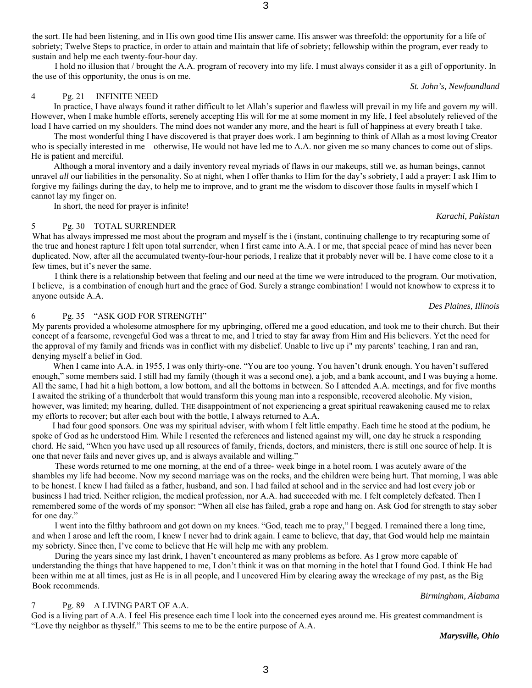3

the sort. He had been listening, and in His own good time His answer came. His answer was threefold: the opportunity for a life of sobriety; Twelve Steps to practice, in order to attain and maintain that life of sobriety; fellowship within the program, ever ready to sustain and help me each twenty-four-hour day.

I hold no illusion that / brought the A.A. program of recovery into my life. I must always consider it as a gift of opportunity. In the use of this opportunity, the onus is on me.

# 4 Pg. 21 INFINITE NEED

In practice, I have always found it rather difficult to let Allah's superior and flawless will prevail in my life and govern *my* will. However, when I make humble efforts, serenely accepting His will for me at some moment in my life, I feel absolutely relieved of the load I have carried on my shoulders. The mind does not wander any more, and the heart is full of happiness at every breath I take.

The most wonderful thing I have discovered is that prayer does work. I am beginning to think of Allah as a most loving Creator who is specially interested in me—otherwise. He would not have led me to A.A. nor given me so many chances to come out of slips. He is patient and merciful.

Although a moral inventory and a daily inventory reveal myriads of flaws in our makeups, still we, as human beings, cannot unravel *all* our liabilities in the personality. So at night, when I offer thanks to Him for the day's sobriety, I add a prayer: I ask Him to forgive my failings during the day, to help me to improve, and to grant me the wisdom to discover those faults in myself which I cannot lay my finger on.

In short, the need for prayer is infinite!

# 5 Pg. 30 TOTAL SURRENDER

What has always impressed me most about the program and myself is the *i* (instant, continuing challenge to try recapturing some of the true and honest rapture I felt upon total surrender, when I first came into A.A. I or me, that special peace of mind has never been duplicated. Now, after all the accumulated twenty-four-hour periods, I realize that it probably never will be. I have come close to it a few times, but it's never the same.

I think there is a relationship between that feeling and our need at the time we were introduced to the program. Our motivation, I believe, is a combination of enough hurt and the grace of God. Surely a strange combination! I would not knowhow to express it to anyone outside A.A.

*Des Plaines, Illinois* 

# 6 Pg. 35 "ASK GOD FOR STRENGTH"

My parents provided a wholesome atmosphere for my upbringing, offered me a good education, and took me to their church. But their concept of a fearsome, revengeful God was a threat to me, and I tried to stay far away from Him and His believers. Yet the need for the approval of my family and friends was in conflict with my disbelief. Unable to live up i" my parents' teaching, I ran and ran, denying myself a belief in God.

When I came into A.A. in 1955, I was only thirty-one. "You are too young. You haven't drunk enough. You haven't suffered enough," some members said. I still had my family (though it was a second one), a job, and a bank account, and I was buying a home. All the same, I had hit a high bottom, a low bottom, and all the bottoms in between. So I attended A.A. meetings, and for five months I awaited the striking of a thunderbolt that would transform this young man into a responsible, recovered alcoholic. My vision, however, was limited; my hearing, dulled. The disappointment of not experiencing a great spiritual reawakening caused me to relax my efforts to recover; but after each bout with the bottle, I always returned to A.A.

I had four good sponsors. One was my spiritual adviser, with whom I felt little empathy. Each time he stood at the podium, he spoke of God as he understood Him. While I resented the references and listened against my will, one day he struck a responding chord. He said, "When you have used up all resources of family, friends, doctors, and ministers, there is still one source of help. It is one that never fails and never gives up, and is always available and willing."

These words returned to me one morning, at the end of a three- week binge in a hotel room. I was acutely aware of the shambles my life had become. Now my second marriage was on the rocks, and the children were being hurt. That morning, I was able to be honest. I knew I had failed as a father, husband, and son. I had failed at school and in the service and had lost every job or business I had tried. Neither religion, the medical profession, nor A.A. had succeeded with me. I felt completely defeated. Then I remembered some of the words of my sponsor: "When all else has failed, grab a rope and hang on. Ask God for strength to stay sober for one day."

I went into the filthy bathroom and got down on my knees. "God, teach me to pray," I begged. I remained there a long time, and when I arose and left the room, I knew I never had to drink again. I came to believe, that day, that God would help me maintain my sobriety. Since then, I've come to believe that He will help me with any problem.

During the years since my last drink, I haven't encountered as many problems as before. As I grow more capable of understanding the things that have happened to me, I don't think it was on that morning in the hotel that I found God. I think He had been within me at all times, just as He is in all people, and I uncovered Him by clearing away the wreckage of my past, as the Big Book recommends.

# 7 Pg. 89 A LIVING PART OF A.A.

God is a living part of A.A. I feel His presence each time I look into the concerned eyes around me. His greatest commandment is "Love thy neighbor as thyself." This seems to me to be the entire purpose of A.A.

*Marysville, Ohio* 

*Birmingham, Alabama* 

# *Karachi, Pakistan*

*St. John's, Newfoundland*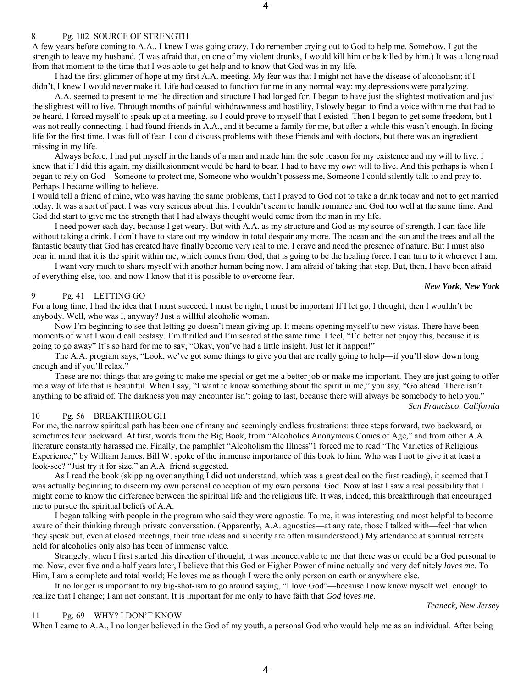A few years before coming to A.A., I knew I was going crazy. I do remember crying out to God to help me. Somehow, I got the strength to leave my husband. (I was afraid that, on one of my violent drunks, I would kill him or be killed by him.) It was a long road from that moment to the time that I was able to get help and to know that God was in my life.

I had the first glimmer of hope at my first A.A. meeting. My fear was that I might not have the disease of alcoholism; if I didn't, I knew I would never make it. Life had ceased to function for me in any normal way; my depressions were paralyzing.

A.A. seemed to present to me the direction and structure I had longed for. I began to have just the slightest motivation and just the slightest will to live. Through months of painful withdrawnness and hostility, I slowly began to find a voice within me that had to be heard. I forced myself to speak up at a meeting, so I could prove to myself that I existed. Then I began to get some freedom, but I was not really connecting. I had found friends in A.A., and it became a family for me, but after a while this wasn't enough. In facing life for the first time, I was full of fear. I could discuss problems with these friends and with doctors, but there was an ingredient missing in my life.

Always before, I had put myself in the hands of a man and made him the sole reason for my existence and my will to live. I knew that if I did this again, my disillusionment would be hard to bear. I had to have my *own* will to live. And this perhaps is when I began to rely on God—Someone to protect me, Someone who wouldn't possess me, Someone I could silently talk to and pray to. Perhaps I became willing to believe.

I would tell a friend of mine, who was having the same problems, that I prayed to God not to take a drink today and not to get married today. It was a sort of pact. I was very serious about this. I couldn't seem to handle romance and God too well at the same time. And God did start to give me the strength that I had always thought would come from the man in my life.

I need power each day, because I get weary. But with A.A. as my structure and God as my source of strength, I can face life without taking a drink. I don't have to stare out my window in total despair any more. The ocean and the sun and the trees and all the fantastic beauty that God has created have finally become very real to me. I crave and need the presence of nature. But I must also bear in mind that it is the spirit within me, which comes from God, that is going to be the healing force. I can turn to it wherever I am.

I want very much to share myself with another human being now. I am afraid of taking that step. But, then, I have been afraid of everything else, too, and now I know that it is possible to overcome fear.

# 9 Pg. 41 LETTING GO

For a long time, I had the idea that I must succeed, I must be right, I must be important If I let go, I thought, then I wouldn't be anybody. Well, who was I, anyway? Just a willful alcoholic woman.

Now I'm beginning to see that letting go doesn't mean giving up. It means opening myself to new vistas. There have been moments of what I would call ecstasy. I'm thrilled and I'm scared at the same time. I feel, "I'd better not enjoy this, because it is going to go away" It's so hard for me to say, "Okay, you've had a little insight. Just let it happen!"

The A.A. program says, "Look, we've got some things to give you that are really going to help—if you'll slow down long enough and if you'll relax."

These are not things that are going to make me special or get me a better job or make me important. They are just going to offer me a way of life that is beautiful. When I say, "I want to know something about the spirit in me," you say, "Go ahead. There isn't anything to be afraid of. The darkness you may encounter isn't going to last, because there will always be somebody to help you."

*San Francisco, California* 

*New York, New York* 

### 10 Pg. 56 BREAKTHROUGH

For me, the narrow spiritual path has been one of many and seemingly endless frustrations: three steps forward, two backward, or sometimes four backward. At first, words from the Big Book, from "Alcoholics Anonymous Comes of Age," and from other A.A. literature constantly harassed me. Finally, the pamphlet "Alcoholism the Illness"1 forced me to read "The Varieties of Religious Experience," by William James. Bill W. spoke of the immense importance of this book to him. Who was I not to give it at least a look-see? "Just try it for size," an A.A. friend suggested.

As I read the book (skipping over anything I did not understand, which was a great deal on the first reading), it seemed that I was actually beginning to discern my own personal conception of my own personal God. Now at last I saw a real possibility that I might come to know the difference between the spiritual life and the religious life. It was, indeed, this breakthrough that encouraged me to pursue the spiritual beliefs of A.A.

I began talking with people in the program who said they were agnostic. To me, it was interesting and most helpful to become aware of their thinking through private conversation. (Apparently, A.A. agnostics—at any rate, those I talked with—feel that when they speak out, even at closed meetings, their true ideas and sincerity are often misunderstood.) My attendance at spiritual retreats held for alcoholics only also has been of immense value.

Strangely, when I first started this direction of thought, it was inconceivable to me that there was or could be a God personal to me. Now, over five and a half years later, I believe that this God or Higher Power of mine actually and very definitely *loves me.* To Him, I am a complete and total world; He loves me as though I were the only person on earth or anywhere else.

It no longer is important to my big-shot-ism to go around saying, "I love God"—because I now know myself well enough to realize that I change; I am not constant. It is important for me only to have faith that *God loves me.*

## *Teaneck, New Jersey*

# 11 Pg. 69 WHY? I DON'T KNOW

When I came to A.A., I no longer believed in the God of my youth, a personal God who would help me as an individual. After being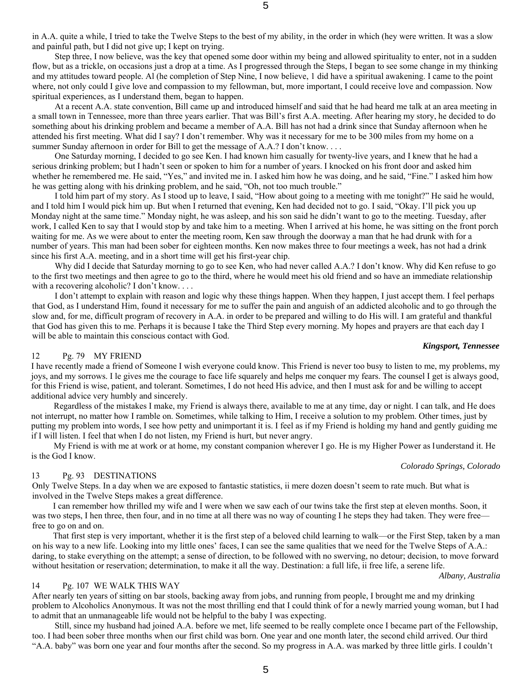in A.A. quite a while, I tried to take the Twelve Steps to the best of my ability, in the order in which (hey were written. It was a slow and painful path, but I did not give up; I kept on trying.

Step three, I now believe, was the key that opened some door within my being and allowed spirituality to enter, not in a sudden flow, but as a trickle, on occasions just a drop at a time. As I progressed through the Steps, I began to see some change in my thinking and my attitudes toward people. Al (he completion of Step Nine, I now believe, 1 did have a spiritual awakening. I came to the point where, not only could I give love and compassion to my fellowman, but, more important, I could receive love and compassion. Now spiritual experiences, as I understand them, began to happen.

At a recent A.A. state convention, Bill came up and introduced himself and said that he had heard me talk at an area meeting in a small town in Tennessee, more than three years earlier. That was Bill's first A.A. meeting. After hearing my story, he decided to do something about his drinking problem and became a member of A.A. Bill has not had a drink since that Sunday afternoon when he attended his first meeting. What did I say? I don't remember. Why was it necessary for me to be 300 miles from my home on a summer Sunday afternoon in order for Bill to get the message of A.A.? I don't know....

One Saturday morning, I decided to go see Ken. I had known him casually for twenty-live years, and I knew that he had a serious drinking problem; but I hadn't seen or spoken to him for a number of years. I knocked on his front door and asked him whether he remembered me. He said, "Yes," and invited me in. I asked him how he was doing, and he said, "Fine." I asked him how he was getting along with his drinking problem, and he said, "Oh, not too much trouble."

I told him part of my story. As I stood up to leave, I said, "How about going to a meeting with me tonight?" He said he would, and I told him I would pick him up. But when I returned that evening, Ken had decided not to go. I said, "Okay. I'll pick you up Monday night at the same time." Monday night, he was asleep, and his son said he didn't want to go to the meeting. Tuesday, after work, I called Ken to say that I would stop by and take him to a meeting. When I arrived at his home, he was sitting on the front porch waiting for me. As we were about to enter the meeting room, Ken saw through the doorway a man that he had drunk with for a number of years. This man had been sober for eighteen months. Ken now makes three to four meetings a week, has not had a drink since his first A.A. meeting, and in a short time will get his first-year chip.

Why did I decide that Saturday morning to go to see Ken, who had never called A.A.? I don't know. Why did Ken refuse to go to the first two meetings and then agree to go to the third, where he would meet his old friend and so have an immediate relationship with a recovering alcoholic? I don't know....

I don't attempt to explain with reason and logic why these things happen. When they happen, I just accept them. I feel perhaps that God, as I understand Him, found it necessary for me to suffer the pain and anguish of an addicted alcoholic and to go through the slow and, for me, difficult program of recovery in A.A. in order to be prepared and willing to do His will. I am grateful and thankful that God has given this to me. Perhaps it is because I take the Third Step every morning. My hopes and prayers are that each day I will be able to maintain this conscious contact with God.

### *Kingsport, Tennessee*

# 12 Pg. 79 MY FRIEND

I have recently made a friend of Someone I wish everyone could know. This Friend is never too busy to listen to me, my problems, my joys, and my sorrows. I le gives me the courage to face life squarely and helps me conquer my fears. The counsel I get is always good, for this Friend is wise, patient, and tolerant. Sometimes, I do not heed His advice, and then I must ask for and be willing to accept additional advice very humbly and sincerely.

Regardless of the mistakes I make, my Friend is always there, available to me at any time, day or night. I can talk, and He does not interrupt, no matter how I ramble on. Sometimes, while talking to Him, I receive a solution to my problem. Other times, just by putting my problem into words, I see how petty and unimportant it is. I feel as if my Friend is holding my hand and gently guiding me if I will listen. I feel that when I do not listen, my Friend is hurt, but never angry.

My Friend is with me at work or at home, my constant companion wherever I go. He is my Higher Power as **I** understand it. He is the God I know.

### *Colorado Springs, Colorado*

# 13 Pg. 93 DESTINATIONS

Only Twelve Steps. In a day when we are exposed to fantastic statistics, ii mere dozen doesn't seem to rate much. But what is involved in the Twelve Steps makes a great difference.

I can remember how thrilled my wife and I were when we saw each of our twins take the first step at eleven months. Soon, it was two steps, I hen three, then four, and in no time at all there was no way of counting I he steps they had taken. They were free free to go on and on.

That first step is very important, whether it is the first step of a beloved child learning to walk—or the First Step, taken by a man on his way to a new life. Looking into my little ones' faces, I can see the same qualities that we need for the Twelve Steps of A.A.: daring, to stake everything on the attempt; a sense of direction, to be followed with no swerving, no detour; decision, to move forward without hesitation or reservation; determination, to make it all the way. Destination: a full life, ii free life, a serene life.

### *Albany, Australia*

# 14 Pg. 107 WE WALK THIS WAY

After nearly ten years of sitting on bar stools, backing away from jobs, and running from people, I brought me and my drinking problem to Alcoholics Anonymous. It was not the most thrilling end that I could think of for a newly married young woman, but I had to admit that an unmanageable life would not be helpful to the baby I was expecting.

Still, since my husband had joined A.A. before we met, life seemed to be really complete once I became part of the Fellowship, too. I had been sober three months when our first child was born. One year and one month later, the second child arrived. Our third "A.A. baby" was born one year and four months after the second. So my progress in A.A. was marked by three little girls. I couldn't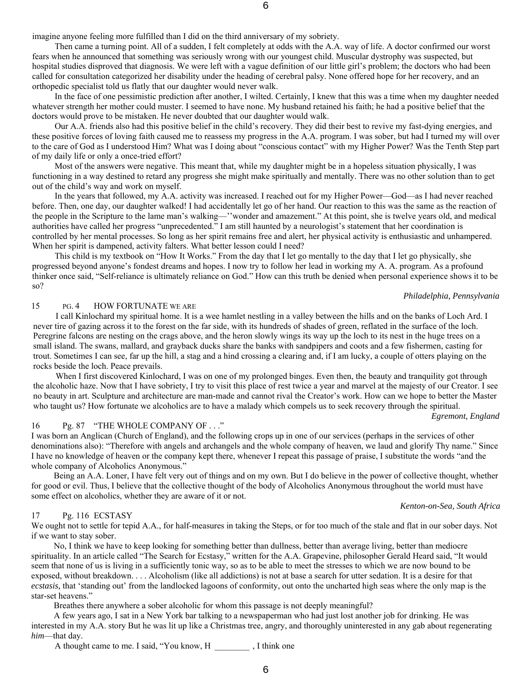imagine anyone feeling more fulfilled than I did on the third anniversary of my sobriety.

Then came a turning point. All of a sudden, I felt completely at odds with the A.A. way of life. A doctor confirmed our worst fears when he announced that something was seriously wrong with our youngest child. Muscular dystrophy was suspected, but hospital studies disproved that diagnosis. We were left with a vague definition of our little girl's problem; the doctors who had been called for consultation categorized her disability under the heading of cerebral palsy. None offered hope for her recovery, and an orthopedic specialist told us flatly that our daughter would never walk.

In the face of one pessimistic prediction after another, I wilted. Certainly, I knew that this was a time when my daughter needed whatever strength her mother could muster. I seemed to have none. My husband retained his faith; he had a positive belief that the doctors would prove to be mistaken. He never doubted that our daughter would walk.

Our A.A. friends also had this positive belief in the child's recovery. They did their best to revive my fast-dying energies, and these positive forces of loving faith caused me to reassess my progress in the A.A. program. I was sober, but had I turned my will over to the care of God as I understood Him? What was I doing about "conscious contact" with my Higher Power? Was the Tenth Step part of my daily life or only a once-tried effort?

Most of the answers were negative. This meant that, while my daughter might be in a hopeless situation physically, I was functioning in a way destined to retard any progress she might make spiritually and mentally. There was no other solution than to get out of the child's way and work on myself.

In the years that followed, my A.A. activity was increased. I reached out for my Higher Power—God—as I had never reached before. Then, one day, our daughter walked! I had accidentally let go of her hand. Our reaction to this was the same as the reaction of the people in the Scripture to the lame man's walking—''wonder and amazement." At this point, she is twelve years old, and medical authorities have called her progress "unprecedented." I am still haunted by a neurologist's statement that her coordination is controlled by her mental processes. So long as her spirit remains free and alert, her physical activity is enthusiastic and unhampered. When her spirit is dampened, activity falters. What better lesson could I need?

This child is my textbook on "How It Works." From the day that I let go mentally to the day that I let go physically, she progressed beyond anyone's fondest dreams and hopes. I now try to follow her lead in working my A. A. program. As a profound thinker once said, "Self-reliance is ultimately reliance on God." How can this truth be denied when personal experience shows it to be so?

# *Philadelphia, Pennsylvania*

# 15 PG. 4 HOW FORTUNATE WE ARE

I call Kinlochard my spiritual home. It is a wee hamlet nestling in a valley between the hills and on the banks of Loch Ard. I never tire of gazing across it to the forest on the far side, with its hundreds of shades of green, reflated in the surface of the loch. Peregrine falcons are nesting on the crags above, and the heron slowly wings its way up the loch to its nest in the huge trees on a small island. The swans, mallard, and grayback ducks share the banks with sandpipers and coots and a few fishermen, casting for trout. Sometimes I can see, far up the hill, a stag and a hind crossing a clearing and, if I am lucky, a couple of otters playing on the rocks beside the loch. Peace prevails.

When I first discovered Kinlochard, I was on one of my prolonged binges. Even then, the beauty and tranquility got through the alcoholic haze. Now that I have sobriety, I try to visit this place of rest twice a year and marvel at the majesty of our Creator. I see no beauty in art. Sculpture and architecture are man-made and cannot rival the Creator's work. How can we hope to better the Master who taught us? How fortunate we alcoholics are to have a malady which compels us to seek recovery through the spiritual. *Egremont, England* 

# 16 Pg. 87 "THE WHOLE COMPANY OF . . ."

I was born an Anglican (Church of England), and the following crops up in one of our services (perhaps in the services of other denominations also): "Therefore with angels and archangels and the whole company of heaven, we laud and glorify Thy name." Since I have no knowledge of heaven or the company kept there, whenever I repeat this passage of praise, I substitute the words "and the whole company of Alcoholics Anonymous."

Being an A.A. Loner, I have felt very out of things and on my own. But I do believe in the power of collective thought, whether for good or evil. Thus, I believe that the collective thought of the body of Alcoholics Anonymous throughout the world must have some effect on alcoholics, whether they are aware of it or not.

## 17 Pg. 116 ECSTASY

We ought not to settle for tepid A.A., for half-measures in taking the Steps, or for too much of the stale and flat in our sober days. Not if we want to stay sober.

No, I think we have to keep looking for something better than dullness, better than average living, better than mediocre spirituality. In an article called "The Search for Ecstasy," written for the A.A. Grapevine, philosopher Gerald Heard said, "It would seem that none of us is living in a sufficiently tonic way, so as to be able to meet the stresses to which we are now bound to be exposed, without breakdown. . . . Alcoholism (like all addictions) is not at base a search for utter sedation. It is a desire for that *ecstasis,* that 'standing out' from the landlocked lagoons of conformity, out onto the uncharted high seas where the only map is the star-set heavens."

Breathes there anywhere a sober alcoholic for whom this passage is not deeply meaningful?

A few years ago, I sat in a New York bar talking to a newspaperman who had just lost another job for drinking. He was interested in my A.A. story But he was lit up like a Christmas tree, angry, and thoroughly uninterested in any gab about regenerating *him*—that day.

A thought came to me. I said, "You know, H \_\_\_\_\_\_\_\_ , I think one

*Kenton-on-Sea, South Africa*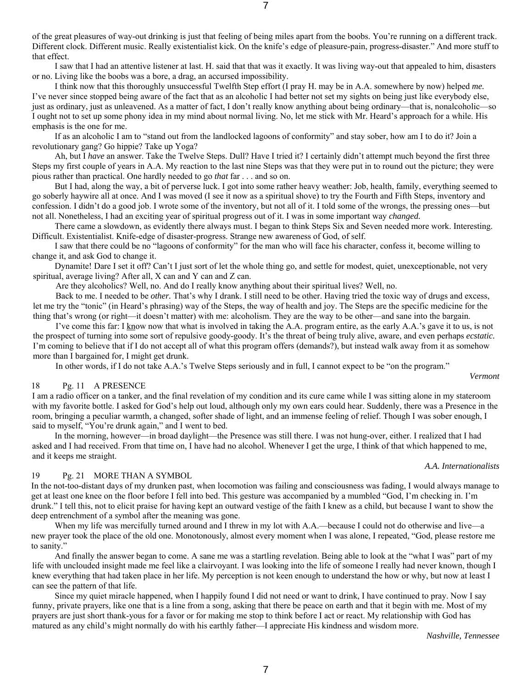of the great pleasures of way-out drinking is just that feeling of being miles apart from the boobs. You're running on a different track. Different clock. Different music. Really existentialist kick. On the knife's edge of pleasure-pain, progress-disaster." And more stuff to that effect.

I saw that I had an attentive listener at last. H. said that that was it exactly. It was living way-out that appealed to him, disasters or no. Living like the boobs was a bore, a drag, an accursed impossibility.

I think now that this thoroughly unsuccessful Twelfth Step effort (I pray H. may be in A.A. somewhere by now) helped *me.* I've never since stopped being aware of the fact that as an alcoholic I had better not set my sights on being just like everybody else, just as ordinary, just as unleavened. As a matter of fact, I don't really know anything about being ordinary—that is, nonalcoholic—so I ought not to set up some phony idea in my mind about normal living. No, let me stick with Mr. Heard's approach for a while. His emphasis is the one for me.

If as an alcoholic I am to "stand out from the landlocked lagoons of conformity" and stay sober, how am I to do it? Join a revolutionary gang? Go hippie? Take up Yoga?

Ah, but I *have* an answer. Take the Twelve Steps. Dull? Have I tried it? I certainly didn't attempt much beyond the first three Steps my first couple of years in A.A. My reaction to the last nine Steps was that they were put in to round out the picture; they were pious rather than practical. One hardly needed to go *that* far . . . and so on.

But I had, along the way, a bit of perverse luck. I got into some rather heavy weather: Job, health, family, everything seemed to go soberly haywire all at once. And I was moved (I see it now as a spiritual shove) to try the Fourth and Fifth Steps, inventory and confession. I didn't do a good job. I wrote some of the inventory, but not all of it. I told some of the wrongs, the pressing ones—but not all. Nonetheless, I had an exciting year of spiritual progress out of it. I was in some important way *changed.*

There came a slowdown, as evidently there always must. I began to think Steps Six and Seven needed more work. Interesting. Difficult. Existentialist. Knife-edge of disaster-progress. Strange new awareness of God, of self.

I saw that there could be no "lagoons of conformity" for the man who will face his character, confess it, become willing to change it, and ask God to change it.

Dynamite! Dare I set it off? Can't I just sort of let the whole thing go, and settle for modest, quiet, unexceptionable, not very spiritual, average living? After all, X can and Y can and Z can.

Are they alcoholics? Well, no. And do I really know anything about their spiritual lives? Well, no.

Back to me. I needed to be *other.* That's why I drank. I still need to be other. Having tried the toxic way of drugs and excess, let me try the "tonic" (in Heard's phrasing) way of the Steps, the way of health and joy. The Steps are the specific medicine for the thing that's wrong (or right—it doesn't matter) with me: alcoholism. They are the way to be other—and sane into the bargain.

I've come this far: I know now that what is involved in taking the A.A. program entire, as the early A.A.'s gave it to us, is not the prospect of turning into some sort of repulsive goody-goody. It's the threat of being truly alive, aware, and even perhaps *ecstatic.* I'm coming to believe that if I do not accept all of what this program offers (demands?), but instead walk away from it as somehow more than I bargained for, I might get drunk.

In other words, if I do not take A.A.'s Twelve Steps seriously and in full, I cannot expect to be "on the program."

# 18 Pg. 11 A PRESENCE

I am a radio officer on a tanker, and the final revelation of my condition and its cure came while I was sitting alone in my stateroom with my favorite bottle. I asked for God's help out loud, although only my own ears could hear. Suddenly, there was a Presence in the room, bringing a peculiar warmth, a changed, softer shade of light, and an immense feeling of relief. Though I was sober enough, I said to myself, "You're drunk again," and I went to bed.

In the morning, however—in broad daylight—the Presence was still there. I was not hung-over, either. I realized that I had asked and I had received. From that time on, I have had no alcohol. Whenever I get the urge, I think of that which happened to me, and it keeps me straight.

# 19 Pg. 21 MORE THAN A SYMBOL

In the not-too-distant days of my drunken past, when locomotion was failing and consciousness was fading, I would always manage to get at least one knee on the floor before I fell into bed. This gesture was accompanied by a mumbled "God, I'm checking in. I'm drunk." I tell this, not to elicit praise for having kept an outward vestige of the faith I knew as a child, but because I want to show the deep entrenchment of a symbol after the meaning was gone.

When my life was mercifully turned around and I threw in my lot with A.A.—because I could not do otherwise and live—a new prayer took the place of the old one. Monotonously, almost every moment when I was alone, I repeated, "God, please restore me to sanity."

And finally the answer began to come. A sane me was a startling revelation. Being able to look at the "what I was" part of my life with unclouded insight made me feel like a clairvoyant. I was looking into the life of someone I really had never known, though I knew everything that had taken place in her life. My perception is not keen enough to understand the how or why, but now at least I can see the pattern of that life.

Since my quiet miracle happened, when I happily found I did not need or want to drink, I have continued to pray. Now I say funny, private prayers, like one that is a line from a song, asking that there be peace on earth and that it begin with me. Most of my prayers are just short thank-yous for a favor or for making me stop to think before I act or react. My relationship with God has matured as any child's might normally do with his earthly father—I appreciate His kindness and wisdom more.

*Nashville, Tennessee* 

*A.A. Internationalists* 

*Vermont*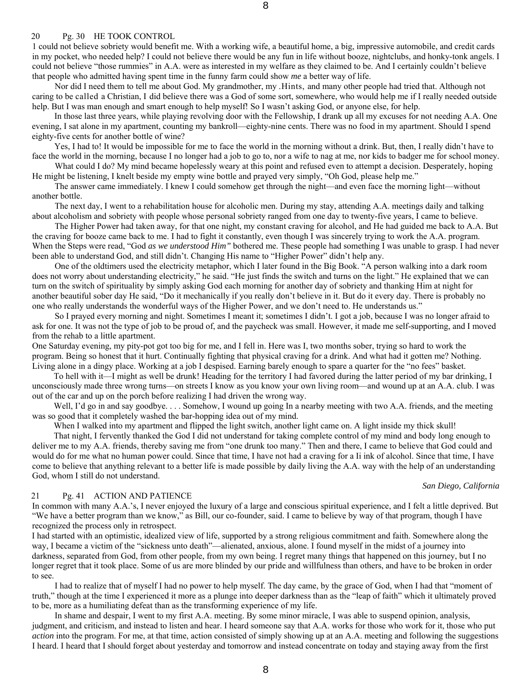### 20 Pg. 30 HE TOOK CONTROL

1 could not believe sobriety would benefit me. With a working wife, a beautiful home, a big, impressive automobile, and credit cards in my pocket, who needed help? I could not believe there would be any fun in life without booze, nightclubs, and honky-tonk angels. I could not believe "those rummies" in A.A. were as interested in my welfare as they claimed to be. And I certainly couldn't believe that people who admitted having spent time in the funny farm could show *me* a better way of life.

Nor did I need them to tell me about God. My grandmother, my .Hints, and many other people had tried that. Although not caring to be called a Christian, I did believe there was a God of some sort, somewhere, who would help me if I really needed outside help. But I was man enough and smart enough to help myself! So I wasn't asking God, or anyone else, for help.

In those last three years, while playing revolving door with the Fellowship, I drank up all my excuses for not needing A.A. One evening, I sat alone in my apartment, counting my bankroll—eighty-nine cents. There was no food in my apartment. Should I spend eighty-five cents for another bottle of wine?

Yes, I had to! It would be impossible for me to face the world in the morning without a drink. But, then, I really didn't have to face the world in the morning, because I no longer had a job to go to, nor a wife to nag at me, nor kids to badger me for school money.

What could I do? My mind became hopelessly weary at this point and refused even to attempt a decision. Desperately, hoping He might be listening, I knelt beside my empty wine bottle and prayed very simply, "Oh God, please help me."

The answer came immediately. I knew I could somehow get through the night—and even face the morning light—without another bottle.

The next day, I went to a rehabilitation house for alcoholic men. During my stay, attending A.A. meetings daily and talking about alcoholism and sobriety with people whose personal sobriety ranged from one day to twenty-five years, I came to believe.

The Higher Power had taken away, for that one night, my constant craving for alcohol, and He had guided me back to A.A. But the craving for booze came back to me. I had to fight it constantly, even though I was sincerely trying to work the A.A. program. When the Steps were read, "God *as we understood Him"* bothered me. These people had something I was unable to grasp. I had never been able to understand God, and still didn't. Changing His name to "Higher Power" didn't help any.

One of the oldtimers used the electricity metaphor, which I later found in the Big Book. "A person walking into a dark room does not worry about understanding electricity," he said. "He just finds the switch and turns on the light." He explained that we can turn on the switch of spirituality by simply asking God each morning for another day of sobriety and thanking Him at night for another beautiful sober day He said, "Do it mechanically if you really don't believe in it. But do it every day. There is probably no one who really understands the wonderful ways of the Higher Power, and we don't need to. He understands us."

So I prayed every morning and night. Sometimes I meant it; sometimes I didn't. I got a job, because I was no longer afraid to ask for one. It was not the type of job to be proud of, and the paycheck was small. However, it made me self-supporting, and I moved from the rehab to a little apartment.

One Saturday evening, my pity-pot got too big for me, and I fell in. Here was I, two months sober, trying so hard to work the program. Being so honest that it hurt. Continually fighting that physical craving for a drink. And what had it gotten me? Nothing. Living alone in a dingy place. Working at a job I despised. Earning barely enough to spare a quarter for the "no fees" basket.

To hell with it—I might as well be drunk! Heading for the territory I had favored during the latter period of my bar drinking, I unconsciously made three wrong turns—on streets I know as you know your own living room—and wound up at an A.A. club. I was out of the car and up on the porch before realizing I had driven the wrong way.

Well, I'd go in and say goodbye. . . . Somehow, I wound up going In a nearby meeting with two A.A. friends, and the meeting was so good that it completely washed the bar-hopping idea out of my mind.

When I walked into my apartment and flipped the light switch, another light came on. A light inside my thick skull!

That night, I fervently thanked the God I did not understand for taking complete control of my mind and body long enough to deliver me to my A.A. friends, thereby saving me from "one drunk too many." Then and there, I came to believe that God could and would do for me what no human power could. Since that time, I have not had a craving for a Ii ink of alcohol. Since that time, I have come to believe that anything relevant to a better life is made possible by daily living the A.A. way with the help of an understanding God, whom I still do not understand.

## 21 Pg. 41 ACTION AND PATIENCE

In common with many A.A.'s, I never enjoyed the luxury of a large and conscious spiritual experience, and I felt a little deprived. But "We have a better program than we know," as Bill, our co-founder, said. I came to believe by way of that program, though I have recognized the process only in retrospect.

I had started with an optimistic, idealized view of life, supported by a strong religious commitment and faith. Somewhere along the way, I became a victim of the "sickness unto death"—alienated, anxious, alone. I found myself in the midst of a journey into darkness, separated from God, from other people, from my own being. I regret many things that happened on this journey, but I no longer regret that it took place. Some of us are more blinded by our pride and willfulness than others, and have to be broken in order to see.

I had to realize that of myself I had no power to help myself. The day came, by the grace of God, when I had that "moment of truth," though at the time I experienced it more as a plunge into deeper darkness than as the "leap of faith" which it ultimately proved to be, more as a humiliating defeat than as the transforming experience of my life.

In shame and despair, I went to my first A.A. meeting. By some minor miracle, I was able to suspend opinion, analysis, judgment, and criticism, and instead to listen and hear. I heard someone say that A.A. works for those who work for it, those who put *action* into the program. For me, at that time, action consisted of simply showing up at an A.A. meeting and following the suggestions I heard. I heard that I should forget about yesterday and tomorrow and instead concentrate on today and staying away from the first

### *San Diego, California*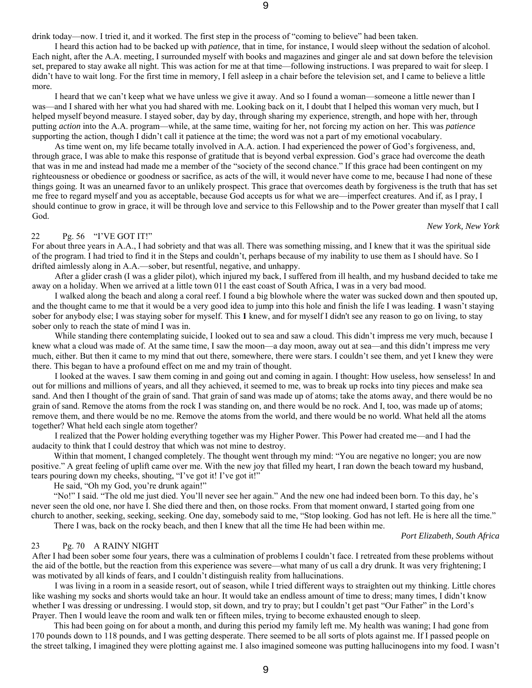drink today—now. I tried it, and it worked. The first step in the process of "coming to believe" had been taken.

I heard this action had to be backed up with *patience,* that in time, for instance, I would sleep without the sedation of alcohol. Each night, after the A.A. meeting, I surrounded myself with books and magazines and ginger ale and sat down before the television set, prepared to stay awake all night. This was action for me at that time—following instructions. I was prepared to wait for sleep. I didn't have to wait long. For the first time in memory, I fell asleep in a chair before the television set, and I came to believe a little more.

I heard that we can't keep what we have unless we give it away. And so I found a woman—someone a little newer than I was—and I shared with her what you had shared with me. Looking back on it, I doubt that I helped this woman very much, but I helped myself beyond measure. I stayed sober, day by day, through sharing my experience, strength, and hope with her, through putting *action* into the A.A. program—while, at the same time, waiting for her, not forcing my action on her. This was *patience* supporting the action, though I didn't call it patience at the time; the word was not a part of my emotional vocabulary.

As time went on, my life became totally involved in A.A. action. I had experienced the power of God's forgiveness, and, through grace, I was able to make this response of gratitude that is beyond verbal expression. God's grace had overcome the death that was in me and instead had made me a member of the "society of the second chance." If this grace had been contingent on my righteousness or obedience or goodness or sacrifice, as acts of the will, it would never have come to me, because I had none of these things going. It was an unearned favor to an unlikely prospect. This grace that overcomes death by forgiveness is the truth that has set me free to regard myself and you as acceptable, because God accepts us for what we are—imperfect creatures. And if, as I pray, I should continue to grow in grace, it will be through love and service to this Fellowship and to the Power greater than myself that I call God.

## 22 Pg. 56 "I'VE GOT IT!"

For about three years in A.A., I had sobriety and that was all. There was something missing, and I knew that it was the spiritual side of the program. I had tried to find it in the Steps and couldn't, perhaps because of my inability to use them as I should have. So I drifted aimlessly along in A.A.—sober, but resentful, negative, and unhappy.

After a glider crash (I was a glider pilot), which injured my back, I suffered from ill health, and my husband decided to take me away on a holiday. When we arrived at a little town 011 the east coast of South Africa, I was in a very bad mood.

I walked along the beach and along a coral reef. I found a big blowhole where the water was sucked down and then spouted up, and the thought came to me that it would be a very good idea to jump into this hole and finish the life I was leading. **1** wasn't staying sober for anybody else; I was staying sober for myself. This **1** knew, and for myself I didn't see any reason to go on living, to stay sober only to reach the state of mind I was in.

While standing there contemplating suicide, I looked out to sea and saw a cloud. This didn't impress me very much, because I knew what a cloud was made of. At the same time, I saw the moon—a day moon, away out at sea—and this didn't impress me very much, either. But then it came to my mind that out there, somewhere, there were stars. I couldn't see them, and yet I knew they were there. This began to have a profound effect on me and my train of thought.

I looked at the waves. I saw them coming in and going out and coming in again. I thought: How useless, how senseless! In and out for millions and millions of years, and all they achieved, it seemed to me, was to break up rocks into tiny pieces and make sea sand. And then I thought of the grain of sand. That grain of sand was made up of atoms; take the atoms away, and there would be no grain of sand. Remove the atoms from the rock I was standing on, and there would be no rock. And I, too, was made up of atoms; remove them, and there would be no me. Remove the atoms from the world, and there would be no world. What held all the atoms together? What held each single atom together?

I realized that the Power holding everything together was my Higher Power. This Power had created me—and I had the audacity to think that I could destroy that which was not mine to destroy.

Within that moment, I changed completely. The thought went through my mind: "You are negative no longer; you are now positive." A great feeling of uplift came over me. With the new joy that filled my heart, I ran down the beach toward my husband, tears pouring down my cheeks, shouting, "I've got it! I've got it!"

He said, "Oh my God, you're drunk again!"

"No!" I said. "The old me just died. You'll never see her again." And the new one had indeed been born. To this day, he's never seen the old one, nor have I. She died there and then, on those rocks. From that moment onward, I started going from one church to another, seeking, seeking, seeking. One day, somebody said to me, "Stop looking. God has not left. He is here all the time."

There I was, back on the rocky beach, and then I knew that all the time He had been within me.

*Port Elizabeth, South Africa* 

*New York, New York* 

## 23 Pg. 70 A RAINY NIGHT

After I had been sober some four years, there was a culmination of problems I couldn't face. I retreated from these problems without the aid of the bottle, but the reaction from this experience was severe—what many of us call a dry drunk. It was very frightening; I was motivated by all kinds of fears, and I couldn't distinguish reality from hallucinations.

I was living in a room in a seaside resort, out of season, while I tried different ways to straighten out my thinking. Little chores like washing my socks and shorts would take an hour. It would take an endless amount of time to dress; many times, I didn't know whether I was dressing or undressing. I would stop, sit down, and try to pray; but I couldn't get past "Our Father" in the Lord's Prayer. Then I would leave the room and walk ten or fifteen miles, trying to become exhausted enough to sleep.

This had been going on for about a month, and during this period my family left me. My health was waning; I had gone from 170 pounds down to 118 pounds, and I was getting desperate. There seemed to be all sorts of plots against me. If I passed people on the street talking, I imagined they were plotting against me. I also imagined someone was putting hallucinogens into my food. I wasn't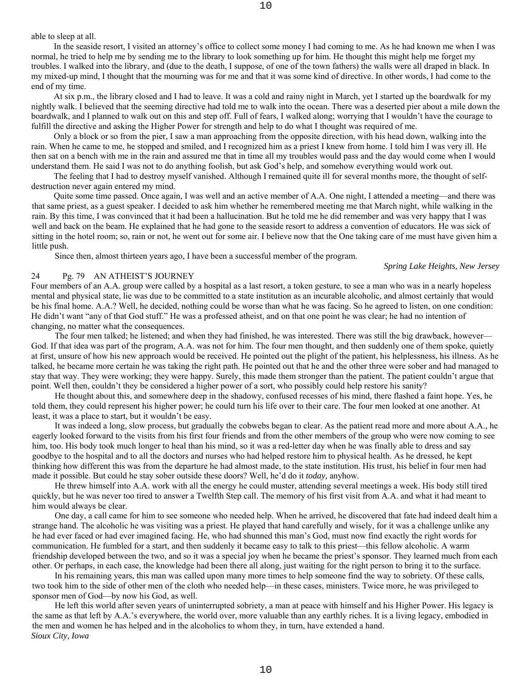able to sleep at all.

In the seaside resort, I visited an attorney's office to collect some money I had coming to me. As he had known me when I was normal, he tried to help me by sending me to the library to look something up for him. He thought this might help me forget my troubles. I walked into the library, and (due to the death, I suppose, of one of the town fathers) the walls were all draped in black. In my mixed-up mind, I thought that the mourning was for me and that it was some kind of directive. In other words, I had come to the end of my time.

At six p.m., the library closed and I had to leave. It was a cold and rainy night in March, yet I started up the boardwalk for my nightly walk. I believed that the seeming directive had told me to walk into the ocean. There was a deserted pier about a mile down the boardwalk, and I planned to walk out on this and step off. Full of fears, I walked along; worrying that I wouldn't have the courage to fulfill the directive and asking the Higher Power for strength and help to do what I thought was required of me.

Only a block or so from the pier, I saw a man approaching from the opposite direction, with his head down, walking into the rain. When he came to me, he stopped and smiled, and I recognized him as a priest I knew from home. I told him I was very ill. He then sat on a bench with me in the rain and assured me that in time all my troubles would pass and the day would come when I would understand them. He said I was not to do anything foolish, but ask God's help, and somehow everything would work out.

The feeling that I had to destroy myself vanished. Although I remained quite ill for several months more, the thought of selfdestruction never again entered my mind.

Quite some time passed. Once again, I was well and an active member of A.A. One night, I attended a meeting—and there was that same priest, as a guest speaker. I decided to ask him whether he remembered meeting me that March night, while walking in the rain. By this time, I was convinced that it had been a hallucination. But he told me he did remember and was very happy that I was well and back on the beam. He explained that he had gone to the seaside resort to address a convention of educators. He was sick of sitting in the hotel room; so, rain or not, he went out for some air. I believe now that the One taking care of me must have given him a little push.

Since then, almost thirteen years ago, I have been a successful member of the program.

*Spring Lake Heights, New Jersey* 

## 24 Pg. 79 AN ATHEIST'S JOURNEY

Four members of an A.A. group were called by a hospital as a last resort, a token gesture, to see a man who was in a nearly hopeless mental and physical state, lie was due to be committed to a state institution as an incurable alcoholic, and almost certainly that would be his final home. A.A.? Well, he decided, nothing could be worse than what he was facing. So he agreed to listen, on one condition: He didn't want "any of that God stuff." He was a professed atheist, and on that one point he was clear; he had no intention of changing, no matter what the consequences.

The four men talked; he listened; and when they had finished, he was interested. There was still the big drawback, however— God. If that idea was part of the program, A.A. was not for him. The four men thought, and then suddenly one of them spoke, quietly at first, unsure of how his new approach would be received. He pointed out the plight of the patient, his helplessness, his illness. As he talked, he became more certain he was taking the right path. He pointed out that he and the other three were sober and had managed to stay that way. They were working; they were happy. Surely, this made them stronger than the patient. The patient couldn't argue that point. Well then, couldn't they be considered a higher power of a sort, who possibly could help restore his sanity?

He thought about this, and somewhere deep in the shadowy, confused recesses of his mind, there flashed a faint hope. Yes, he told them, they could represent his higher power; he could turn his life over to their care. The four men looked at one another. At least, it was a place to start, but it wouldn't be easy.

It was indeed a long, slow process, but gradually the cobwebs began to clear. As the patient read more and more about A.A., he eagerly looked forward to the visits from his first four friends and from the other members of the group who were now coming to see him, too. His body took much longer to heal than his mind, so it was a red-letter day when he was finally able to dress and say goodbye to the hospital and to all the doctors and nurses who had helped restore him to physical health. As he dressed, he kept thinking how different this was from the departure he had almost made, to the state institution. His trust, his belief in four men had made it possible. But could he stay sober outside these doors? Well, he'd do it *today,* anyhow.

He threw himself into A.A. work with all the energy he could muster, attending several meetings a week. His body still tired quickly, but he was never too tired to answer a Twelfth Step call. The memory of his first visit from A.A. and what it had meant to him would always be clear.

One day, a call came for him to see someone who needed help. When he arrived, he discovered that fate had indeed dealt him a strange hand. The alcoholic he was visiting was a priest. He played that hand carefully and wisely, for it was a challenge unlike any he had ever faced or had ever imagined facing. He, who had shunned this man's God, must now find exactly the right words for communication. He fumbled for a start, and then suddenly it became easy to talk to this priest—this fellow alcoholic. A warm friendship developed between the two, and so it was a special joy when he became the priest's sponsor. They learned much from each other. Or perhaps, in each case, the knowledge had been there all along, just waiting for the right person to bring it to the surface.

In his remaining years, this man was called upon many more times to help someone find the way to sobriety. Of these calls, two took him to the side of other men of the cloth who needed help—in these cases, ministers. Twice more, he was privileged to sponsor men of God—by now his God, as well.

He left this world after seven years of uninterrupted sobriety, a man at peace with himself and his Higher Power. His legacy is the same as that left by A.A.'s everywhere, the world over, more valuable than any earthly riches. It is a living legacy, embodied in the men and women he has helped and in the alcoholics to whom they, in turn, have extended a hand. *Sioux City, Iowa*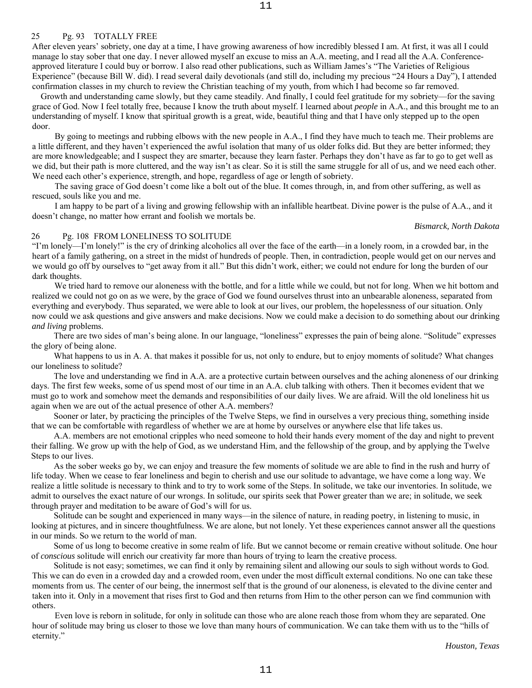# 25 Pg. 93 TOTALLY FREE

After eleven years' sobriety, one day at a time, I have growing awareness of how incredibly blessed I am. At first, it was all I could manage lo stay sober that one day. I never allowed myself an excuse to miss an A.A. meeting, and I read all the A.A. Conferenceapproved literature I could buy or borrow. I also read other publications, such as William James's "The Varieties of Religious Experience" (because Bill W. did). I read several daily devotionals (and still do, including my precious "24 Hours a Day"), I attended confirmation classes in my church to review the Christian teaching of my youth, from which I had become so far removed.

Growth and understanding came slowly, but they came steadily. And finally, I could feel gratitude for my sobriety—for the saving grace of God. Now I feel totally free, because I know the truth about myself. I learned about *people* in A.A., and this brought me to an understanding of myself. I know that spiritual growth is a great, wide, beautiful thing and that I have only stepped up to the open door.

By going to meetings and rubbing elbows with the new people in A.A., I find they have much to teach me. Their problems are a little different, and they haven't experienced the awful isolation that many of us older folks did. But they are better informed; they are more knowledgeable; and I suspect they are smarter, because they learn faster. Perhaps they don't have as far to go to get well as we did, but their path is more cluttered, and the way isn't as clear. So it is still the same struggle for all of us, and we need each other. We need each other's experience, strength, and hope, regardless of age or length of sobriety.

The saving grace of God doesn't come like a bolt out of the blue. It comes through, in, and from other suffering, as well as rescued, souls like you and me.

I am happy to be part of a living and growing fellowship with an infallible heartbeat. Divine power is the pulse of A.A., and it doesn't change, no matter how errant and foolish we mortals be.

### *Bismarck, North Dakota*

# 26 Pg. 108 FROM LONELINESS TO SOLITUDE

"I'm lonely—I'm lonely!" is the cry of drinking alcoholics all over the face of the earth—in a lonely room, in a crowded bar, in the heart of a family gathering, on a street in the midst of hundreds of people. Then, in contradiction, people would get on our nerves and we would go off by ourselves to "get away from it all." But this didn't work, either; we could not endure for long the burden of our dark thoughts.

We tried hard to remove our aloneness with the bottle, and for a little while we could, but not for long. When we hit bottom and realized we could not go on as we were, by the grace of God we found ourselves thrust into an unbearable aloneness, separated from everything and everybody. Thus separated, we were able to look at our lives, our problem, the hopelessness of our situation. Only now could we ask questions and give answers and make decisions. Now we could make a decision to do something about our drinking *and living* problems.

There are two sides of man's being alone. In our language, "loneliness" expresses the pain of being alone. "Solitude" expresses the glory of being alone.

What happens to us in A. A. that makes it possible for us, not only to endure, but to enjoy moments of solitude? What changes our loneliness to solitude?

The love and understanding we find in A.A. are a protective curtain between ourselves and the aching aloneness of our drinking days. The first few weeks, some of us spend most of our time in an A.A. club talking with others. Then it becomes evident that we must go to work and somehow meet the demands and responsibilities of our daily lives. We are afraid. Will the old loneliness hit us again when we are out of the actual presence of other A.A. members?

Sooner or later, by practicing the principles of the Twelve Steps, we find in ourselves a very precious thing, something inside that we can be comfortable with regardless of whether we are at home by ourselves or anywhere else that life takes us.

A.A. members are not emotional cripples who need someone to hold their hands every moment of the day and night to prevent their falling. We grow up with the help of God, as we understand Him, and the fellowship of the group, and by applying the Twelve Steps to our lives.

As the sober weeks go by, we can enjoy and treasure the few moments of solitude we are able to find in the rush and hurry of life today. When we cease to fear loneliness and begin to cherish and use our solitude to advantage, we have come a long way. We realize a little solitude is necessary to think and to try to work some of the Steps. In solitude, we take our inventories. In solitude, we admit to ourselves the exact nature of our wrongs. In solitude, our spirits seek that Power greater than we are; in solitude, we seek through prayer and meditation to be aware of God's will for us.

Solitude can be sought and experienced in many ways—in the silence of nature, in reading poetry, in listening to music, in looking at pictures, and in sincere thoughtfulness. We are alone, but not lonely. Yet these experiences cannot answer all the questions in our minds. So we return to the world of man.

Some of us long to become creative in some realm of life. But we cannot become or remain creative without solitude. One hour of *conscious* solitude will enrich our creativity far more than hours of trying to learn the creative process.

Solitude is not easy; sometimes, we can find it only by remaining silent and allowing our souls to sigh without words to God. This we can do even in a crowded day and a crowded room, even under the most difficult external conditions. No one can take these moments from us. The center of our being, the innermost self that is the ground of our aloneness, is elevated to the divine center and taken into it. Only in a movement that rises first to God and then returns from Him to the other person can we find communion with others.

Even love is reborn in solitude, for only in solitude can those who are alone reach those from whom they are separated. One hour of solitude may bring us closer to those we love than many hours of communication. We can take them with us to the "hills of eternity."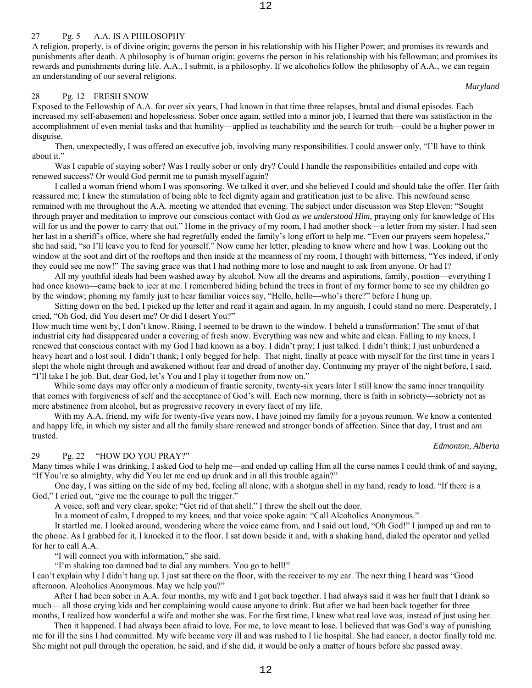# 27 Pg. 5 A.A. IS A PHILOSOPHY

A religion, properly, is of divine origin; governs the person in his relationship with his Higher Power; and promises its rewards and punishments after death. A philosophy is of human origin; governs the person in his relationship with his fellowman; and promises its rewards and punishments during life. A.A., I submit, is a philosophy. If we alcoholics follow the philosophy of A.A., we can regain an understanding of our several religions.

## 28 Pg. 12 FRESH SNOW

Exposed to the Fellowship of A.A. for over six years, I had known in that time three relapses, brutal and dismal episodes. Each increased my self-abasement and hopelessness. Sober once again, settled into a minor job, I learned that there was satisfaction in the accomplishment of even menial tasks and that humility—applied as teachability and the search for truth—could be a higher power in disguise.

Then, unexpectedly, I was offered an executive job, involving many responsibilities. I could answer only, "I'll have to think about it."

Was I capable of staying sober? Was I really sober or only dry? Could I handle the responsibilities entailed and cope with renewed success? Or would God permit me to punish myself again?

I called a woman friend whom I was sponsoring. We talked it over, and she believed I could and should take the offer. Her faith reassured me; I knew the stimulation of being able to feel dignity again and gratification just to be alive. This newfound sense remained with me throughout the A.A. meeting we attended that evening. The subject under discussion was Step Eleven: "Sought through prayer and meditation to improve our conscious contact with God *as we understood Him,* praying only for knowledge of His will for us and the power to carry that out." Home in the privacy of my room, I had another shock—a letter from my sister. I had seen her last in a sheriff's office, where she had regretfully ended the family's long effort to help me. "Even our prayers seem hopeless," she had said, "so I'll leave you to fend for yourself." Now came her letter, pleading to know where and how I was. Looking out the window at the soot and dirt of the rooftops and then inside at the meanness of my room, I thought with bitterness, "Yes indeed, if only they could see me now!" The saving grace was that I had nothing more to lose and naught to ask from anyone. Or had I?

All my youthful ideals had been washed away by alcohol. Now all the dreams and aspirations, family, position—everything I had once known—came back to jeer at me. I remembered hiding behind the trees in front of my former home to see my children go by the window; phoning my family just to hear familiar voices say, "Hello, hello—who's there?" before I hung up.

Sitting down on the bed, I picked up the letter and read it again and again. In my anguish, I could stand no more. Desperately, I cried, "Oh God, did You desert me? Or did I desert You?"

How much time went by, I don't know. Rising, I seemed to be drawn to the window. I beheld a transformation! The smut of that industrial city had disappeared under a covering of fresh snow. Everything was new and white and clean. Falling to my knees, I renewed that conscious contact with my God I had known as a boy. I didn't pray; I just talked. I didn't think; I just unburdened a heavy heart and a lost soul. I didn't thank; I only begged for help. That night, finally at peace with myself for the first time in years I slept the whole night through and awakened without fear and dread of another day. Continuing my prayer of the night before, I said, "I'll take I he job. But, dear God, let's You and I play it together from now on."

While some days may offer only a modicum of frantic serenity, twenty-six years later I still know the same inner tranquility that comes with forgiveness of self and the acceptance of God's will. Each new morning, there is faith in sobriety—sobriety not as mere abstinence from alcohol, but as progressive recovery in every facet of my life.

With my A.A. friend, my wife for twenty-five years now, I have joined my family for a joyous reunion. We know a contented and happy life, in which my sister and all the family share renewed and stronger bonds of affection. Since that day, I trust and am trusted.

# 29 Pg. 22 "HOW DO YOU PRAY?"

Many times while I was drinking, I asked God to help me—and ended up calling Him all the curse names I could think of and saying, "If You're so almighty, why did You let me end up drunk and in all this trouble again?"

One day, I was sitting on the side of my bed, feeling all alone, with a shotgun shell in my hand, ready to load. "If there is a God," I cried out, "give me the courage to pull the trigger."

A voice, soft and very clear, spoke: "Get rid of that shell." I threw the shell out the door.

In a moment of calm, I dropped to my knees, and that voice spoke again: "Call Alcoholics Anonymous."

It startled me. I looked around, wondering where the voice came from, and I said out loud, "Oh God!" I jumped up and ran to the phone. As I grabbed for it, I knocked it to the floor. I sat down beside it and, with a shaking hand, dialed the operator and yelled for her to call A.A.

"I will connect you with information," she said.

"I'm shaking too damned bad to dial any numbers. You go to hell!"

I can't explain why I didn't hang up. I just sat there on the floor, with the receiver to my ear. The next thing I heard was "Good afternoon. Alcoholics Anonymous. May we help you?"

After I had been sober in A.A. four months, my wife and I got back together. I had always said it was her fault that I drank so much— all those crying kids and her complaining would cause anyone to drink. But after we had been back together for three months, I realized how wonderful a wife and mother she was. For the first time, I knew what real love was, instead of just using her.

Then it happened. I had always been afraid to love. For me, to love meant to lose. I believed that was God's way of punishing me for ill the sins I had committed. My wife became very ill and was rushed to I lie hospital. She had cancer, a doctor finally told me. She might not pull through the operation, he said, and if she did, it would be only a matter of hours before she passed away.

*Maryland* 

## 12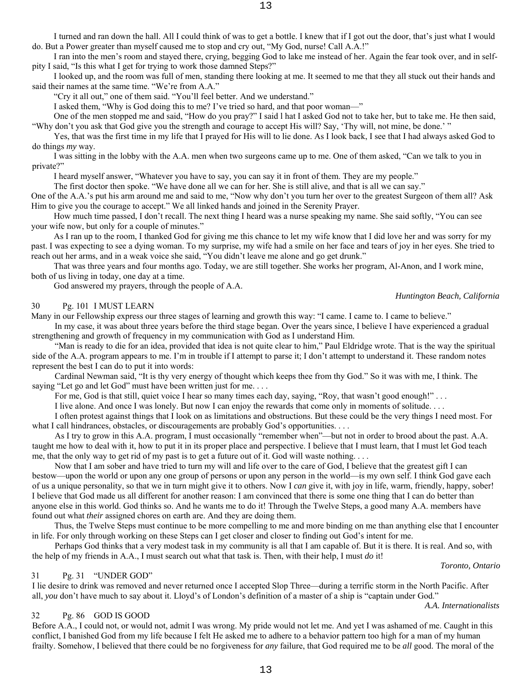I turned and ran down the hall. All I could think of was to get a bottle. I knew that if I got out the door, that's just what I would do. But a Power greater than myself caused me to stop and cry out, "My God, nurse! Call A.A.!"

I ran into the men's room and stayed there, crying, begging God to lake me instead of her. Again the fear took over, and in selfpity I said, "Is this what I get for trying to work those damned Steps?"

I looked up, and the room was full of men, standing there looking at me. It seemed to me that they all stuck out their hands and said their names at the same time. "We're from A.A."

"Cry it all out," one of them said. "You'll feel better. And we understand."

I asked them, "Why is God doing this to me? I've tried so hard, and that poor woman—"

One of the men stopped me and said, "How do you pray?" I said l hat I asked God not to take her, but to take me. He then said, "Why don't you ask that God give you the strength and courage to accept His will? Say, 'Thy will, not mine, be done.' "

Yes, that was the first time in my life that I prayed for His will to lie done. As I look back, I see that I had always asked God to do things *my* way.

I was sitting in the lobby with the A.A. men when two surgeons came up to me. One of them asked, "Can we talk to you in private?"

I heard myself answer, "Whatever you have to say, you can say it in front of them. They are my people."

The first doctor then spoke. "We have done all we can for her. She is still alive, and that is all we can say."

One of the A.A.'s put his arm around me and said to me, "Now why don't you turn her over to the greatest Surgeon of them all? Ask Him to give you the courage to accept." We all linked hands and joined in the Serenity Prayer.

How much time passed, I don't recall. The next thing I heard was a nurse speaking my name. She said softly, "You can see your wife now, but only for a couple of minutes."

As I ran up to the room, I thanked God for giving me this chance to let my wife know that I did love her and was sorry for my past. I was expecting to see a dying woman. To my surprise, my wife had a smile on her face and tears of joy in her eyes. She tried to reach out her arms, and in a weak voice she said, "You didn't leave me alone and go get drunk."

That was three years and four months ago. Today, we are still together. She works her program, Al-Anon, and I work mine, both of us living in today, one day at a time.

God answered my prayers, through the people of A.A.

# 30 Pg. 101 I MUST LEARN

Many in our Fellowship express our three stages of learning and growth this way: "I came. I came to. I came to believe."

In my case, it was about three years before the third stage began. Over the years since, I believe I have experienced a gradual strengthening and growth of frequency in my communication with God as I understand Him.

"Man is ready to die for an idea, provided that idea is not quite clear to him," Paul Eldridge wrote. That is the way the spiritual side of the A.A. program appears to me. I'm in trouble if I attempt to parse it; I don't attempt to understand it. These random notes represent the best I can do to put it into words:

Cardinal Newman said, "It is thy very energy of thought which keeps thee from thy God." So it was with me, I think. The saying "Let go and let God" must have been written just for me....

For me, God is that still, quiet voice I hear so many times each day, saying, "Roy, that wasn't good enough!" . . .

I live alone. And once I was lonely. But now I can enjoy the rewards that come only in moments of solitude. . . .

I often protest against things that I look on as limitations and obstructions. But these could be the very things I need most. For what I call hindrances, obstacles, or discouragements are probably God's opportunities. . . .

As I try to grow in this A.A. program, I must occasionally "remember when"—but not in order to brood about the past. A.A. taught me how to deal with it, how to put it in its proper place and perspective. I believe that I must learn, that I must let God teach me, that the only way to get rid of my past is to get a future out of it. God will waste nothing. . . .

Now that I am sober and have tried to turn my will and life over to the care of God, I believe that the greatest gift I can bestow—upon the world or upon any one group of persons or upon any person in the world—is my own self. I think God gave each of us a unique personality, so that we in turn might give it to others. Now I *can* give it, with joy in life, warm, friendly, happy, sober! I believe that God made us all different for another reason: I am convinced that there is some one thing that I can do better than anyone else in this world. God thinks so. And he wants me to do it! Through the Twelve Steps, a good many A.A. members have found out what *their* assigned chores on earth are. And they are doing them.

Thus, the Twelve Steps must continue to be more compelling to me and more binding on me than anything else that I encounter in life. For only through working on these Steps can I get closer and closer to finding out God's intent for me.

Perhaps God thinks that a very modest task in my community is all that I am capable of. But it is there. It is real. And so, with the help of my friends in A.A., I must search out what that task is. Then, with their help, I must *do* it!

### 31 Pg. 31 "UNDER GOD"

I lie desire to drink was removed and never returned once I accepted Slop Three—during a terrific storm in the North Pacific. After all, *you* don't have much to say about it. Lloyd's of London's definition of a master of a ship is "captain under God."

13

## *A.A. Internationalists*

32 Pg. 86 GOD IS GOOD Before A.A., I could not, or would not, admit I was wrong. My pride would not let me. And yet I was ashamed of me. Caught in this conflict, I banished God from my life because I felt He asked me to adhere to a behavior pattern too high for a man of my human frailty. Somehow, I believed that there could be no forgiveness for *any* failure, that God required me to be *all* good. The moral of the

*Huntington Beach, California* 

*Toronto, Ontario*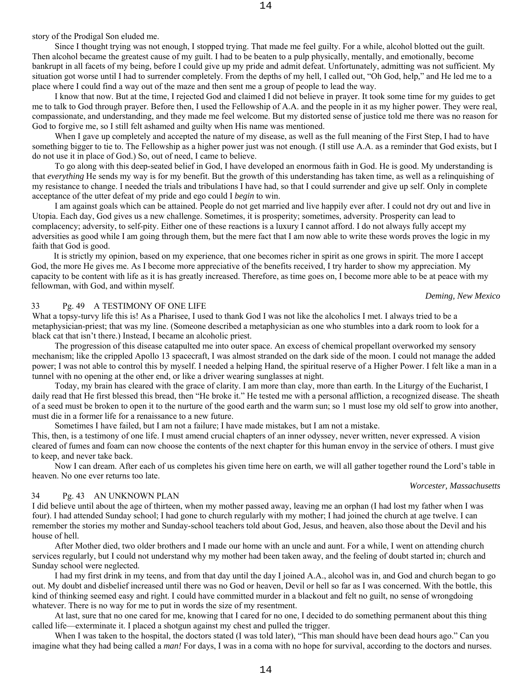story of the Prodigal Son eluded me.

Since I thought trying was not enough, I stopped trying. That made me feel guilty. For a while, alcohol blotted out the guilt. Then alcohol became the greatest cause of my guilt. I had to be beaten to a pulp physically, mentally, and emotionally, become bankrupt in all facets of my being, before I could give up my pride and admit defeat. Unfortunately, admitting was not sufficient. My situation got worse until I had to surrender completely. From the depths of my hell, I called out, "Oh God, help," and He led me to a place where I could find a way out of the maze and then sent me a group of people to lead the way.

I know that now. But at the time, I rejected God and claimed I did not believe in prayer. It took some time for my guides to get me to talk to God through prayer. Before then, I used the Fellowship of A.A. and the people in it as my higher power. They were real, compassionate, and understanding, and they made me feel welcome. But my distorted sense of justice told me there was no reason for God to forgive me, so I still felt ashamed and guilty when His name was mentioned.

When I gave up completely and accepted the nature of my disease, as well as the full meaning of the First Step, I had to have something bigger to tie to. The Fellowship as a higher power just was not enough. (I still use A.A. as a reminder that God exists, but I do not use it in place of God.) So, out of need, I came to believe.

To go along with this deep-seated belief in God, I have developed an enormous faith in God. He is good. My understanding is that *everything* He sends my way is for my benefit. But the growth of this understanding has taken time, as well as a relinquishing of my resistance to change. I needed the trials and tribulations I have had, so that I could surrender and give up self. Only in complete acceptance of the utter defeat of my pride and ego could I *begin* to win.

I am against goals which can be attained. People do not get married and live happily ever after. I could not dry out and live in Utopia. Each day, God gives us a new challenge. Sometimes, it is prosperity; sometimes, adversity. Prosperity can lead to complacency; adversity, to self-pity. Either one of these reactions is a luxury I cannot afford. I do not always fully accept my adversities as good while I am going through them, but the mere fact that I am now able to write these words proves the logic in my faith that God is good.

It is strictly my opinion, based on my experience, that one becomes richer in spirit as one grows in spirit. The more I accept God, the more He gives me. As I become more appreciative of the benefits received, I try harder to show my appreciation. My capacity to be content with life as it is has greatly increased. Therefore, as time goes on, I become more able to be at peace with my fellowman, with God, and within myself.

### *Deming, New Mexico*

# 33 Pg. 49 A TESTIMONY OF ONE LIFE

What a topsy-turvy life this is! As a Pharisee, I used to thank God I was not like the alcoholics I met. I always tried to be a metaphysician-priest; that was my line. (Someone described a metaphysician as one who stumbles into a dark room to look for a black cat that isn't there.) Instead, I became an alcoholic priest.

The progression of this disease catapulted me into outer space. An excess of chemical propellant overworked my sensory mechanism; like the crippled Apollo 13 spacecraft, I was almost stranded on the dark side of the moon. I could not manage the added power; I was not able to control this by myself. I needed a helping Hand, the spiritual reserve of a Higher Power. I felt like a man in a tunnel with no opening at the other end, or like a driver wearing sunglasses at night.

Today, my brain has cleared with the grace of clarity. I am more than clay, more than earth. In the Liturgy of the Eucharist, I daily read that He first blessed this bread, then "He broke it." He tested me with a personal affliction, a recognized disease. The sheath of a seed must be broken to open it to the nurture of the good earth and the warm sun; so 1 must lose my old self to grow into another, must die in a former life for a renaissance to a new future.

Sometimes I have failed, but I am not a failure; I have made mistakes, but I am not a mistake.

This, then, is a testimony of one life. I must amend crucial chapters of an inner odyssey, never written, never expressed. A vision cleared of fumes and foam can now choose the contents of the next chapter for this human envoy in the service of others. I must give to keep, and never take back.

Now I can dream. After each of us completes his given time here on earth, we will all gather together round the Lord's table in heaven. No one ever returns too late.

## *Worcester, Massachusetts*

# 34 Pg. 43 AN UNKNOWN PLAN

I did believe until about the age of thirteen, when my mother passed away, leaving me an orphan (I had lost my father when I was four). I had attended Sunday school; I had gone to church regularly with my mother; I had joined the church at age twelve. I can remember the stories my mother and Sunday-school teachers told about God, Jesus, and heaven, also those about the Devil and his house of hell.

After Mother died, two older brothers and I made our home with an uncle and aunt. For a while, I went on attending church services regularly, but I could not understand why my mother had been taken away, and the feeling of doubt started in; church and Sunday school were neglected.

I had my first drink in my teens, and from that day until the day I joined A.A., alcohol was in, and God and church began to go out. My doubt and disbelief increased until there was no God or heaven, Devil or hell so far as I was concerned. With the bottle, this kind of thinking seemed easy and right. I could have committed murder in a blackout and felt no guilt, no sense of wrongdoing whatever. There is no way for me to put in words the size of my resentment.

At last, sure that no one cared for me, knowing that I cared for no one, I decided to do something permanent about this thing called life—exterminate it. I placed a shotgun against my chest and pulled the trigger.

When I was taken to the hospital, the doctors stated (I was told later), "This man should have been dead hours ago." Can you imagine what they had being called a *man!* For days, I was in a coma with no hope for survival, according to the doctors and nurses.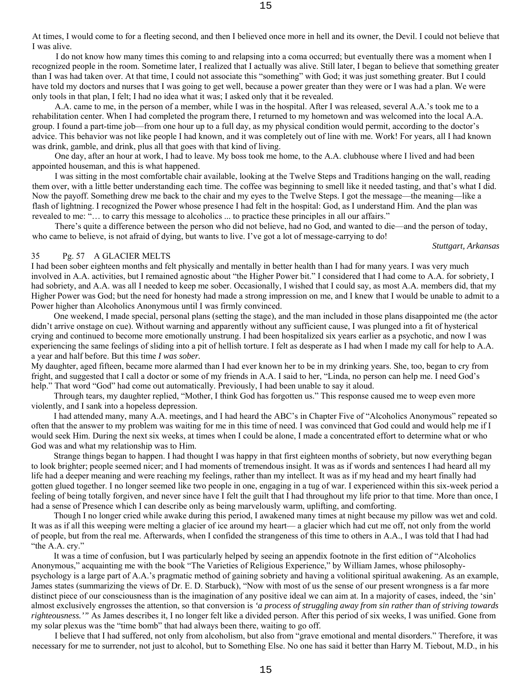At times, I would come to for a fleeting second, and then I believed once more in hell and its owner, the Devil. I could not believe that I was alive.

 I do not know how many times this coming to and relapsing into a coma occurred; but eventually there was a moment when I recognized people in the room. Sometime later, I realized that I actually was alive. Still later, I began to believe that something greater than I was had taken over. At that time, I could not associate this "something" with God; it was just something greater. But I could have told my doctors and nurses that I was going to get well, because a power greater than they were or I was had a plan. We were only tools in that plan, I felt; I had no idea what it was; I asked only that it be revealed.

A.A. came to me, in the person of a member, while I was in the hospital. After I was released, several A.A.'s took me to a rehabilitation center. When I had completed the program there, I returned to my hometown and was welcomed into the local A.A. group. I found a part-time job—from one hour up to a full day, as my physical condition would permit, according to the doctor's advice. This behavior was not like people I had known, and it was completely out of line with me. Work! For years, all I had known was drink, gamble, and drink, plus all that goes with that kind of living.

One day, after an hour at work, I had to leave. My boss took me home, to the A.A. clubhouse where I lived and had been appointed houseman, and this is what happened.

I was sitting in the most comfortable chair available, looking at the Twelve Steps and Traditions hanging on the wall, reading them over, with a little better understanding each time. The coffee was beginning to smell like it needed tasting, and that's what I did. Now the payoff. Something drew me back to the chair and my eyes to the Twelve Steps. I got the message—the meaning—like a flash of lightning. I recognized the Power whose presence I had felt in the hospital: God, as I understand Him. And the plan was revealed to me: "… to carry this message to alcoholics ... to practice these principles in all our affairs."

There's quite a difference between the person who did not believe, had no God, and wanted to die—and the person of today, who came to believe, is not afraid of dying, but wants to live. I've got a lot of message-carrying to do!

### 35 Pg. 57 A GLACIER MELTS

I had been sober eighteen months and felt physically and mentally in better health than I had for many years. I was very much involved in A.A. activities, but I remained agnostic about "the Higher Power bit." I considered that I had come to A.A. for sobriety, I had sobriety, and A.A. was all I needed to keep me sober. Occasionally, I wished that I could say, as most A.A. members did, that my Higher Power was God; but the need for honesty had made a strong impression on me, and I knew that I would be unable to admit to a Power higher than Alcoholics Anonymous until I was firmly convinced.

One weekend, I made special, personal plans (setting the stage), and the man included in those plans disappointed me (the actor didn't arrive onstage on cue). Without warning and apparently without any sufficient cause, I was plunged into a fit of hysterical crying and continued to become more emotionally unstrung. I had been hospitalized six years earlier as a psychotic, and now I was experiencing the same feelings of sliding into a pit of hellish torture. I felt as desperate as I had when I made my call for help to A.A. a year and half before. But this time *I was sober.*

My daughter, aged fifteen, became more alarmed than I had ever known her to be in my drinking years. She, too, began to cry from fright, and suggested that I call a doctor or some of my friends in A.A. I said to her, "Linda, no person can help me. I need God's help." That word "God" had come out automatically. Previously, I had been unable to say it aloud.

Through tears, my daughter replied, "Mother, I think God has forgotten us." This response caused me to weep even more violently, and I sank into a hopeless depression.

I had attended many, many A.A. meetings, and I had heard the ABC's in Chapter Five of "Alcoholics Anonymous" repeated so often that the answer to my problem was waiting for me in this time of need. I was convinced that God could and would help me if I would seek Him. During the next six weeks, at times when I could be alone, I made a concentrated effort to determine what or who God was and what my relationship was to Him.

Strange things began to happen. I had thought I was happy in that first eighteen months of sobriety, but now everything began to look brighter; people seemed nicer; and I had moments of tremendous insight. It was as if words and sentences I had heard all my life had a deeper meaning and were reaching my feelings, rather than my intellect. It was as if my head and my heart finally had gotten glued together. I no longer seemed like two people in one, engaging in a tug of war. I experienced within this six-week period a feeling of being totally forgiven, and never since have I felt the guilt that I had throughout my life prior to that time. More than once, I had a sense of Presence which I can describe only as being marvelously warm, uplifting, and comforting.

Though I no longer cried while awake during this period, I awakened many times at night because my pillow was wet and cold. It was as if all this weeping were melting a glacier of ice around my heart— a glacier which had cut me off, not only from the world of people, but from the real me. Afterwards, when I confided the strangeness of this time to others in A.A., I was told that I had had "the A.A. cry."

It was a time of confusion, but I was particularly helped by seeing an appendix footnote in the first edition of "Alcoholics Anonymous," acquainting me with the book "The Varieties of Religious Experience," by William James, whose philosophypsychology is a large part of A.A.'s pragmatic method of gaining sobriety and having a volitional spiritual awakening. As an example, James states (summarizing the views of Dr. E. D. Starbuck), "Now with most of us the sense of our present wrongness is a far more distinct piece of our consciousness than is the imagination of any positive ideal we can aim at. In a majority of cases, indeed, the 'sin' almost exclusively engrosses the attention, so that conversion is *'a process of struggling away from sin rather than of striving towards righteousness.'"* As James describes it, I no longer felt like a divided person. After this period of six weeks, I was unified. Gone from my solar plexus was the "time bomb" that had always been there, waiting to go off.

I believe that I had suffered, not only from alcoholism, but also from "grave emotional and mental disorders." Therefore, it was necessary for me to surrender, not just to alcohol, but to Something Else. No one has said it better than Harry M. Tiebout, M.D., in his

*Stuttgart, Arkansas*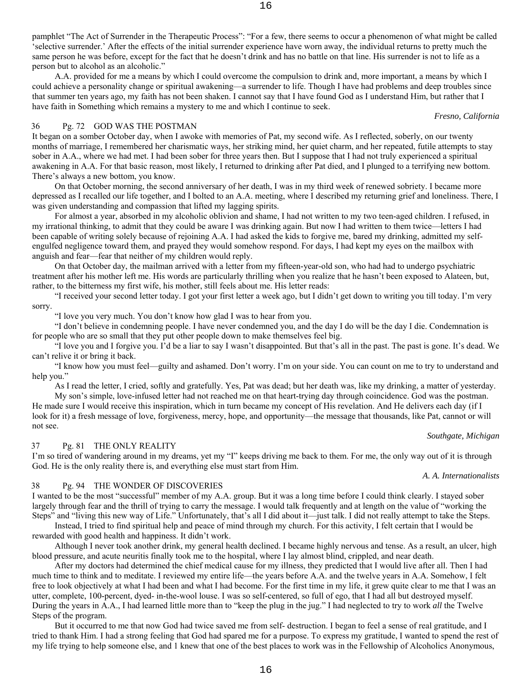pamphlet "The Act of Surrender in the Therapeutic Process": "For a few, there seems to occur a phenomenon of what might be called 'selective surrender.' After the effects of the initial surrender experience have worn away, the individual returns to pretty much the same person he was before, except for the fact that he doesn't drink and has no battle on that line. His surrender is not to life as a person but to alcohol as an alcoholic."

A.A. provided for me a means by which I could overcome the compulsion to drink and, more important, a means by which I could achieve a personality change or spiritual awakening—a surrender to life. Though I have had problems and deep troubles since that summer ten years ago, my faith has not been shaken. I cannot say that I have found God as I understand Him, but rather that I have faith in Something which remains a mystery to me and which I continue to seek.

# 36 Pg. 72 GOD WAS THE POSTMAN

It began on a somber October day, when I awoke with memories of Pat, my second wife. As I reflected, soberly, on our twenty months of marriage, I remembered her charismatic ways, her striking mind, her quiet charm, and her repeated, futile attempts to stay sober in A.A., where we had met. I had been sober for three years then. But I suppose that I had not truly experienced a spiritual awakening in A.A. For that basic reason, most likely, I returned to drinking after Pat died, and I plunged to a terrifying new bottom. There's always a new bottom, you know.

On that October morning, the second anniversary of her death, I was in my third week of renewed sobriety. I became more depressed as I recalled our life together, and I bolted to an A.A. meeting, where I described my returning grief and loneliness. There, I was given understanding and compassion that lifted my lagging spirits.

For almost a year, absorbed in my alcoholic oblivion and shame, I had not written to my two teen-aged children. I refused, in my irrational thinking, to admit that they could be aware I was drinking again. But now I had written to them twice—letters I had been capable of writing solely because of rejoining A.A. I had asked the kids to forgive me, bared my drinking, admitted my selfengulfed negligence toward them, and prayed they would somehow respond. For days, I had kept my eyes on the mailbox with anguish and fear—fear that neither of my children would reply.

On that October day, the mailman arrived with a letter from my fifteen-year-old son, who had had to undergo psychiatric treatment after his mother left me. His words are particularly thrilling when you realize that he hasn't been exposed to Alateen, but, rather, to the bitterness my first wife, his mother, still feels about me. His letter reads:

"I received your second letter today. I got your first letter a week ago, but I didn't get down to writing you till today. I'm very sorry.

"I love you very much. You don't know how glad I was to hear from you.

"I don't believe in condemning people. I have never condemned you, and the day I do will be the day I die. Condemnation is for people who are so small that they put other people down to make themselves feel big.

"I love you and I forgive you. I'd be a liar to say I wasn't disappointed. But that's all in the past. The past is gone. It's dead. We can't relive it or bring it back.

"I know how you must feel—guilty and ashamed. Don't worry. I'm on your side. You can count on me to try to understand and help you."

As I read the letter, I cried, softly and gratefully. Yes, Pat was dead; but her death was, like my drinking, a matter of yesterday.

My son's simple, love-infused letter had not reached me on that heart-trying day through coincidence. God was the postman. He made sure I would receive this inspiration, which in turn became my concept of His revelation. And He delivers each day (if I look for it) a fresh message of love, forgiveness, mercy, hope, and opportunity—the message that thousands, like Pat, cannot or will not see.

### *Southgate, Michigan*

*Fresno, California* 

# 37 Pg. 81 THE ONLY REALITY

I'm so tired of wandering around in my dreams, yet my "I" keeps driving me back to them. For me, the only way out of it is through God. He is the only reality there is, and everything else must start from Him.

*A. A. Internationalists* 

# 38 Pg. 94 THE WONDER OF DISCOVERIES

I wanted to be the most "successful" member of my A.A. group. But it was a long time before I could think clearly. I stayed sober largely through fear and the thrill of trying to carry the message. I would talk frequently and at length on the value of "working the Steps" and "living this new way of Life." Unfortunately, that's all I did about it—just talk. I did not really attempt to take the Steps.

Instead, I tried to find spiritual help and peace of mind through my church. For this activity, I felt certain that I would be rewarded with good health and happiness. It didn't work.

Although I never took another drink, my general health declined. I became highly nervous and tense. As a result, an ulcer, high blood pressure, and acute neuritis finally took me to the hospital, where I lay almost blind, crippled, and near death.

After my doctors had determined the chief medical cause for my illness, they predicted that I would live after all. Then I had much time to think and to meditate. I reviewed my entire life—the years before A.A. and the twelve years in A.A. Somehow, I felt free to look objectively at what I had been and what I had become. For the first time in my life, it grew quite clear to me that I was an utter, complete, 100-percent, dyed- in-the-wool louse. I was so self-centered, so full of ego, that I had all but destroyed myself. During the years in A.A., I had learned little more than to "keep the plug in the jug." I had neglected to try to work *all* the Twelve Steps of the program.

But it occurred to me that now God had twice saved me from self- destruction. I began to feel a sense of real gratitude, and I tried to thank Him. I had a strong feeling that God had spared me for a purpose. To express my gratitude, I wanted to spend the rest of my life trying to help someone else, and 1 knew that one of the best places to work was in the Fellowship of Alcoholics Anonymous,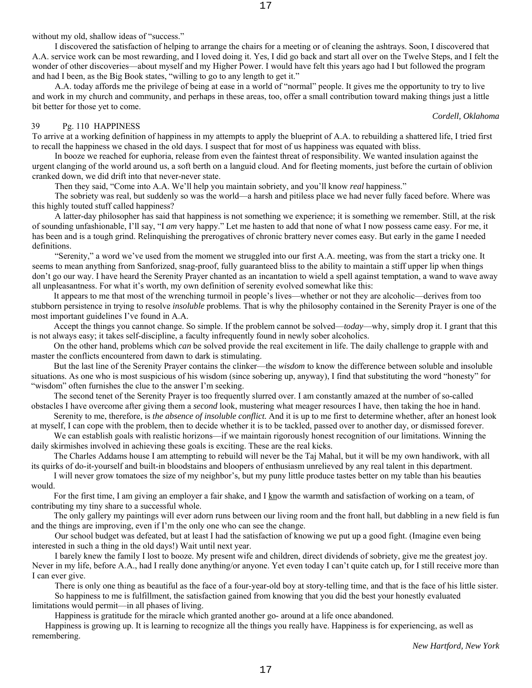without my old, shallow ideas of "success."

I discovered the satisfaction of helping to arrange the chairs for a meeting or of cleaning the ashtrays. Soon, I discovered that A.A. service work can be most rewarding, and I loved doing it. Yes, I did go back and start all over on the Twelve Steps, and I felt the wonder of other discoveries—about myself and my Higher Power. I would have felt this years ago had I but followed the program and had I been, as the Big Book states, "willing to go to any length to get it."

A.A. today affords me the privilege of being at ease in a world of "normal" people. It gives me the opportunity to try to live and work in my church and community, and perhaps in these areas, too, offer a small contribution toward making things just a little bit better for those yet to come.

### 39 Pg. 110 HAPPINESS

To arrive at a working definition of happiness in my attempts to apply the blueprint of A.A. to rebuilding a shattered life, I tried first to recall the happiness we chased in the old days. I suspect that for most of us happiness was equated with bliss.

In booze we reached for euphoria, release from even the faintest threat of responsibility. We wanted insulation against the urgent clanging of the world around us, a soft berth on a languid cloud. And for fleeting moments, just before the curtain of oblivion cranked down, we did drift into that never-never state.

Then they said, "Come into A.A. We'll help you maintain sobriety, and you'll know *real* happiness."

The sobriety was real, but suddenly so was the world—a harsh and pitiless place we had never fully faced before. Where was this highly touted stuff called happiness?

A latter-day philosopher has said that happiness is not something we experience; it is something we remember. Still, at the risk of sounding unfashionable, I'll say, "I *am* very happy." Let me hasten to add that none of what I now possess came easy. For me, it has been and is a tough grind. Relinquishing the prerogatives of chronic brattery never comes easy. But early in the game I needed definitions.

"Serenity," a word we've used from the moment we struggled into our first A.A. meeting, was from the start a tricky one. It seems to mean anything from Sanforized, snag-proof, fully guaranteed bliss to the ability to maintain a stiff upper lip when things don't go our way. I have heard the Serenity Prayer chanted as an incantation to wield a spell against temptation, a wand to wave away all unpleasantness. For what it's worth, my own definition of serenity evolved somewhat like this:

It appears to me that most of the wrenching turmoil in people's lives—whether or not they are alcoholic—derives from too stubborn persistence in trying to resolve *insoluble* problems. That is why the philosophy contained in the Serenity Prayer is one of the most important guidelines I've found in A.A.

Accept the things you cannot change. So simple. If the problem cannot be solved—*today*—why, simply drop it. I grant that this is not always easy; it takes self-discipline, a faculty infrequently found in newly sober alcoholics.

On the other hand, problems which *can* be solved provide the real excitement in life. The daily challenge to grapple with and master the conflicts encountered from dawn to dark is stimulating.

But the last line of the Serenity Prayer contains the clinker—the *wisdom* to know the difference between soluble and insoluble situations. As one who is most suspicious of his wisdom (since sobering up, anyway), I find that substituting the word "honesty" for "wisdom" often furnishes the clue to the answer I'm seeking.

The second tenet of the Serenity Prayer is too frequently slurred over. I am constantly amazed at the number of so-called obstacles I have overcome after giving them a *second* look, mustering what meager resources I have, then taking the hoe in hand.

Serenity to me, therefore, is *the absence of insoluble conflict.* And it is up to me first to determine whether, after an honest look at myself, I can cope with the problem, then to decide whether it is to be tackled, passed over to another day, or dismissed forever.

We can establish goals with realistic horizons—if we maintain rigorously honest recognition of our limitations. Winning the daily skirmishes involved in achieving these goals is exciting. These are the real kicks.

The Charles Addams house I am attempting to rebuild will never be the Taj Mahal, but it will be my own handiwork, with all its quirks of do-it-yourself and built-in bloodstains and bloopers of enthusiasm unrelieved by any real talent in this department.

I will never grow tomatoes the size of my neighbor's, but my puny little produce tastes better on my table than his beauties would.

For the first time, I am giving an employer a fair shake, and I know the warmth and satisfaction of working on a team, of contributing my tiny share to a successful whole.

The only gallery my paintings will ever adorn runs between our living room and the front hall, but dabbling in a new field is fun and the things are improving, even if I'm the only one who can see the change.

Our school budget was defeated, but at least I had the satisfaction of knowing we put up a good fight. (Imagine even being interested in such a thing in the old days!) Wait until next year.

I barely knew the family I lost to booze. My present wife and children, direct dividends of sobriety, give me the greatest joy. Never in my life, before A.A., had I really done anything/or anyone. Yet even today I can't quite catch up, for I still receive more than I can ever give.

There is only one thing as beautiful as the face of a four-year-old boy at story-telling time, and that is the face of his little sister. So happiness to me is fulfillment, the satisfaction gained from knowing that you did the best your honestly evaluated limitations would permit—in all phases of living.

Happiness is gratitude for the miracle which granted another go- around at a life once abandoned.

 Happiness is growing up. It is learning to recognize all the things you really have. Happiness is for experiencing, as well as remembering.

*Cordell, Oklahoma*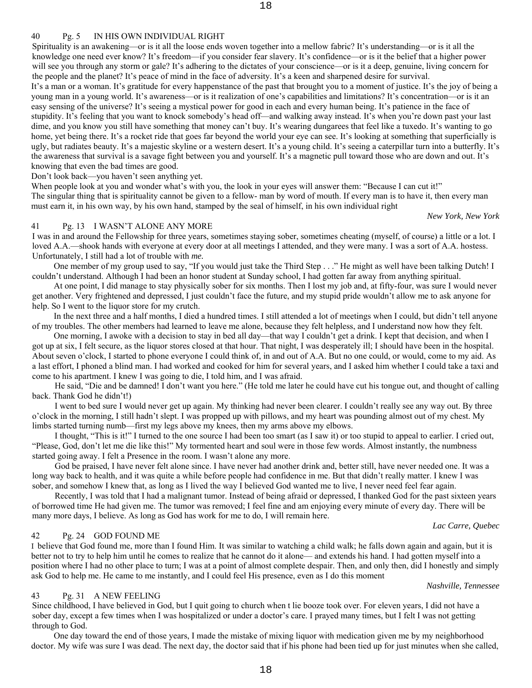# 40 Pg. 5 IN HIS OWN INDIVIDUAL RIGHT

Spirituality is an awakening—or is it all the loose ends woven together into a mellow fabric? It's understanding—or is it all the knowledge one need ever know? It's freedom—if you consider fear slavery. It's confidence—or is it the belief that a higher power will see you through any storm or gale? It's adhering to the dictates of your conscience—or is it a deep, genuine, living concern for the people and the planet? It's peace of mind in the face of adversity. It's a keen and sharpened desire for survival. It's a man or a woman. It's gratitude for every happenstance of the past that brought you to a moment of justice. It's the joy of being a young man in a young world. It's awareness—or is it realization of one's capabilities and limitations? It's concentration—or is it an easy sensing of the universe? It's seeing a mystical power for good in each and every human being. It's patience in the face of stupidity. It's feeling that you want to knock somebody's head off—and walking away instead. It's when you're down past your last dime, and you know you still have something that money can't buy. It's wearing dungarees that feel like a tuxedo. It's wanting to go home, yet being there. It's a rocket ride that goes far beyond the world your eye can see. It's looking at something that superficially is ugly, but radiates beauty. It's a majestic skyline or a western desert. It's a young child. It's seeing a caterpillar turn into a butterfly. It's the awareness that survival is a savage fight between you and yourself. It's a magnetic pull toward those who are down and out. It's knowing that even the bad times are good.

Don't look back—you haven't seen anything yet.

When people look at you and wonder what's with you, the look in your eyes will answer them: "Because I can cut it!" The singular thing that is spirituality cannot be given to a fellow- man by word of mouth. If every man is to have it, then every man must earn it, in his own way, by his own hand, stamped by the seal of himself, in his own individual right

*New York, New York* 

# 41 Pg. 13 I WASN'T ALONE ANY MORE

I was in and around the Fellowship for three years, sometimes staying sober, sometimes cheating (myself, of course) a little or a lot. I loved A.A.—shook hands with everyone at every door at all meetings I attended, and they were many. I was a sort of A.A. hostess. Unfortunately, I still had a lot of trouble with *me.*

One member of my group used to say, "If you would just take the Third Step . . ." He might as well have been talking Dutch! I couldn't understand. Although I had been an honor student at Sunday school, I had gotten far away from anything spiritual.

At one point, I did manage to stay physically sober for six months. Then I lost my job and, at fifty-four, was sure I would never get another. Very frightened and depressed, I just couldn't face the future, and my stupid pride wouldn't allow me to ask anyone for help. So I went to the liquor store for my crutch.

In the next three and a half months, I died a hundred times. I still attended a lot of meetings when I could, but didn't tell anyone of my troubles. The other members had learned to leave me alone, because they felt helpless, and I understand now how they felt.

One morning, I awoke with a decision to stay in bed all day—that way I couldn't get a drink. I kept that decision, and when I got up at six, I felt secure, as the liquor stores closed at that hour. That night, I was desperately ill; I should have been in the hospital. About seven o'clock, I started to phone everyone I could think of, in and out of A.A. But no one could, or would, come to my aid. As a last effort, I phoned a blind man. I had worked and cooked for him for several years, and I asked him whether I could take a taxi and come to his apartment. I knew I was going to die, I told him, and I was afraid.

He said, "Die and be damned! I don't want you here." (He told me later he could have cut his tongue out, and thought of calling back. Thank God he didn't!)

I went to bed sure I would never get up again. My thinking had never been clearer. I couldn't really see any way out. By three o'clock in the morning, I still hadn't slept. I was propped up with pillows, and my heart was pounding almost out of my chest. My limbs started turning numb—first my legs above my knees, then my arms above my elbows.

I thought, "This is it!" I turned to the one source I had been too smart (as I saw it) or too stupid to appeal to earlier. I cried out, "Please, God, don't let me die like this!" My tormented heart and soul were in those few words. Almost instantly, the numbness started going away. I felt a Presence in the room. I wasn't alone any more.

God be praised, I have never felt alone since. I have never had another drink and, better still, have never needed one. It was a long way back to health, and it was quite a while before people had confidence in me. But that didn't really matter. I knew I was sober, and somehow I knew that, as long as I lived the way I believed God wanted me to live, I never need feel fear again.

Recently, I was told that I had a malignant tumor. Instead of being afraid or depressed, I thanked God for the past sixteen years of borrowed time He had given me. The tumor was removed; I feel fine and am enjoying every minute of every day. There will be many more days, I believe. As long as God has work for me to do, I will remain here.

*Lac Carre, Quebec* 

*Nashville, Tennessee* 

# 42 Pg. 24 GOD FOUND ME

I believe that God found me, more than I found Him. It was similar to watching a child walk; he falls down again and again, but it is better not to try to help him until he comes to realize that he cannot do it alone— and extends his hand. I had gotten myself into a position where I had no other place to turn; I was at a point of almost complete despair. Then, and only then, did I honestly and simply ask God to help me. He came to me instantly, and I could feel His presence, even as I do this moment

## 43 Pg. 31 A NEW FEELING

Since childhood, I have believed in God, but I quit going to church when t lie booze took over. For eleven years, I did not have a sober day, except a few times when I was hospitalized or under a doctor's care. I prayed many times, but I felt I was not getting through to God.

One day toward the end of those years, I made the mistake of mixing liquor with medication given me by my neighborhood doctor. My wife was sure I was dead. The next day, the doctor said that if his phone had been tied up for just minutes when she called,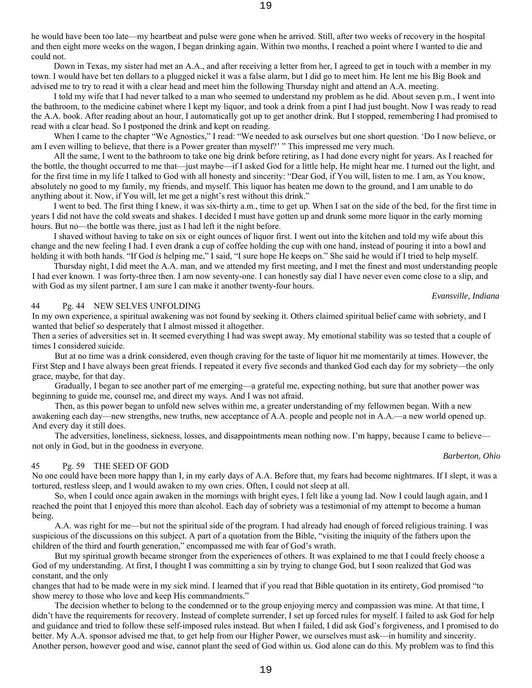he would have been too late—my heartbeat and pulse were gone when he arrived. Still, after two weeks of recovery in the hospital and then eight more weeks on the wagon, I began drinking again. Within two months, I reached a point where I wanted to die and could not.

Down in Texas, my sister had met an A.A., and after receiving a letter from her, I agreed to get in touch with a member in my town. I would have bet ten dollars to a plugged nickel it was a false alarm, but I did go to meet him. He lent me his Big Book and advised me to try to read it with a clear head and meet him the following Thursday night and attend an A.A. meeting.

I told my wife that I had never talked to a man who seemed to understand my problem as he did. About seven p.m., I went into the bathroom, to the medicine cabinet where I kept my liquor, and took a drink from a pint I had just bought. Now I was ready to read the A.A. book. After reading about an hour, I automatically got up to get another drink. But I stopped, remembering I had promised to read with a clear head. So I postponed the drink and kept on reading.

When I came to the chapter "We Agnostics," I read: "We needed to ask ourselves but one short question. 'Do I now believe, or am I even willing to believe, that there is a Power greater than myself?' " This impressed me very much.

All the same, I went to the bathroom to take one big drink before retiring, as I had done every night for years. As I reached for the bottle, the thought occurred to me that—just maybe—if I asked God for a little help, He might hear me. I turned out the light, and for the first time in my life I talked to God with all honesty and sincerity: "Dear God, if You will, listen to me. I am, as You know, absolutely no good to my family, my friends, and myself. This liquor has beaten me down to the ground, and I am unable to do anything about it. Now, if You will, let me get a night's rest without this drink."

I went to bed. The first thing I knew, it was six-thirty a.m., time to get up. When I sat on the side of the bed, for the first time in years I did not have the cold sweats and shakes. I decided I must have gotten up and drunk some more liquor in the early morning hours. But no—the bottle was there, just as I had left it the night before.

I shaved without having to take on six or eight ounces of liquor first. I went out into the kitchen and told my wife about this change and the new feeling I had. I even drank a cup of coffee holding the cup with one hand, instead of pouring it into a bowl and holding it with both hands. "If God *is* helping me," I said, "I sure hope He keeps on." She said he would if I tried to help myself.

Thursday night, I did meet the A.A. man, and we attended my first meeting, and I met the finest and most understanding people I had ever known. 1 was forty-three then. I am now seventy-one. I can honestly say dial I have never even come close to a slip, and with God as my silent partner, I am sure I can make it another twenty-four hours.

*Evansville, Indiana* 

# 44 Pg. 44 NEW SELVES UNFOLDING

In my own experience, a spiritual awakening was not found by seeking it. Others claimed spiritual belief came with sobriety, and I wanted that belief so desperately that I almost missed it altogether.

Then a series of adversities set in. It seemed everything I had was swept away. My emotional stability was so tested that a couple of times I considered suicide.

But at no time was a drink considered, even though craving for the taste of liquor hit me momentarily at times. However, the First Step and I have always been great friends. I repeated it every five seconds and thanked God each day for my sobriety—the only grace, maybe, for that day.

Gradually, I began to see another part of me emerging—a grateful me, expecting nothing, but sure that another power was beginning to guide me, counsel me, and direct my ways. And I was not afraid.

Then, as this power began to unfold new selves within me, a greater understanding of my fellowmen began. With a new awakening each day—new strengths, new truths, new acceptance of A.A. people and people not in A.A.—a new world opened up. And every day it still does.

The adversities, loneliness, sickness, losses, and disappointments mean nothing now. I'm happy, because I came to believe not only in God, but in the goodness in everyone.

# 45 Pg. 59 THE SEED OF GOD

No one could have been more happy than I, in my early days of A.A. Before that, my fears had become nightmares. If I slept, it was a tortured, restless sleep, and I would awaken to my own cries. Often, I could not sleep at all.

So, when I could once again awaken in the mornings with bright eyes, I felt like a young lad. Now I could laugh again, and I reached the point that I enjoyed this more than alcohol. Each day of sobriety was a testimonial of my attempt to become a human being.

A.A. was right for me—but not the spiritual side of the program. I had already had enough of forced religious training. I was suspicious of the discussions on this subject. A part of a quotation from the Bible, "visiting the iniquity of the fathers upon the children of the third and fourth generation," encompassed me with fear of God's wrath.

But my spiritual growth became stronger from the experiences of others. It was explained to me that I could freely choose a God of my understanding. At first, I thought I was committing a sin by trying to change God, but I soon realized that God was constant, and the only

changes that had to be made were in my sick mind. I learned that if you read that Bible quotation in its entirety, God promised "to show mercy to those who love and keep His commandments."

The decision whether to belong to the condemned or to the group enjoying mercy and compassion was mine. At that time, I didn't have the requirements for recovery. Instead of complete surrender, I set up forced rules for myself. I failed to ask God for help and guidance and tried to follow these self-imposed rules instead. But when I failed, I did ask God's forgiveness, and I promised to do better. My A.A. sponsor advised me that, to get help from our Higher Power, we ourselves must ask—in humility and sincerity. Another person, however good and wise, cannot plant the seed of God within us. God alone can do this. My problem was to find this

*Barberton, Ohio*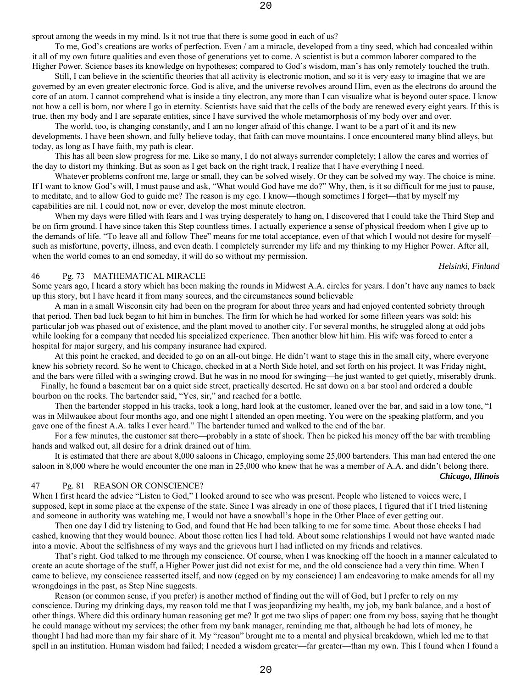sprout among the weeds in my mind. Is it not true that there is some good in each of us?

To me, God's creations are works of perfection. Even / am a miracle, developed from a tiny seed, which had concealed within it all of my own future qualities and even those of generations yet to come. A scientist is but a common laborer compared to the Higher Power. Science bases its knowledge on hypotheses; compared to God's wisdom, man's has only remotely touched the truth.

Still, I can believe in the scientific theories that all activity is electronic motion, and so it is very easy to imagine that we are governed by an even greater electronic force. God is alive, and the universe revolves around Him, even as the electrons do around the core of an atom. I cannot comprehend what is inside a tiny electron, any more than I can visualize what is beyond outer space. I know not how a cell is born, nor where I go in eternity. Scientists have said that the cells of the body are renewed every eight years. If this is true, then my body and I are separate entities, since I have survived the whole metamorphosis of my body over and over.

The world, too, is changing constantly, and I am no longer afraid of this change. I want to be a part of it and its new developments. I have been shown, and fully believe today, that faith can move mountains. I once encountered many blind alleys, but today, as long as I have faith, my path is clear.

This has all been slow progress for me. Like so many, I do not always surrender completely; I allow the cares and worries of the day to distort my thinking. But as soon as I get back on the right track, I realize that I have everything I need.

Whatever problems confront me, large or small, they can be solved wisely. Or they can be solved my way. The choice is mine. If I want to know God's will, I must pause and ask, "What would God have me do?" Why, then, is it so difficult for me just to pause, to meditate, and to allow God to guide me? The reason is my ego. I know—though sometimes I forget—that by myself my capabilities are nil. I could not, now or ever, develop the most minute electron.

When my days were filled with fears and I was trying desperately to hang on, I discovered that I could take the Third Step and be on firm ground. I have since taken this Step countless times. I actually experience a sense of physical freedom when I give up to the demands of life. "To leave all and follow Thee" means for me total acceptance, even of that which I would not desire for myself such as misfortune, poverty, illness, and even death. I completely surrender my life and my thinking to my Higher Power. After all, when the world comes to an end someday, it will do so without my permission.

*Helsinki, Finland* 

*Chicago, Illinois* 

## 46 Pg. 73 MATHEMATICAL MIRACLE

Some years ago, I heard a story which has been making the rounds in Midwest A.A. circles for years. I don't have any names to back up this story, but I have heard it from many sources, and the circumstances sound believable

A man in a small Wisconsin city had been on the program for about three years and had enjoyed contented sobriety through that period. Then bad luck began to hit him in bunches. The firm for which he had worked for some fifteen years was sold; his particular job was phased out of existence, and the plant moved to another city. For several months, he struggled along at odd jobs while looking for a company that needed his specialized experience. Then another blow hit him. His wife was forced to enter a hospital for major surgery, and his company insurance had expired.

At this point he cracked, and decided to go on an all-out binge. He didn't want to stage this in the small city, where everyone knew his sobriety record. So he went to Chicago, checked in at a North Side hotel, and set forth on his project. It was Friday night, and the bars were filled with a swinging crowd. But he was in no mood for swinging—he just wanted to get quietly, miserably drunk.

Finally, he found a basement bar on a quiet side street, practically deserted. He sat down on a bar stool and ordered a double bourbon on the rocks. The bartender said, "Yes, sir," and reached for a bottle.

Then the bartender stopped in his tracks, took a long, hard look at the customer, leaned over the bar, and said in a low tone, "I was in Milwaukee about four months ago, and one night I attended an open meeting. You were on the speaking platform, and you gave one of the finest A.A. talks I ever heard." The bartender turned and walked to the end of the bar.

For a few minutes, the customer sat there—probably in a state of shock. Then he picked his money off the bar with trembling hands and walked out, all desire for a drink drained out of him.

It is estimated that there are about 8,000 saloons in Chicago, employing some 25,000 bartenders. This man had entered the one saloon in 8,000 where he would encounter the one man in 25,000 who knew that he was a member of A.A. and didn't belong there.

### 47 Pg. 81 REASON OR CONSCIENCE?

When I first heard the advice "Listen to God," I looked around to see who was present. People who listened to voices were, I supposed, kept in some place at the expense of the state. Since I was already in one of those places, I figured that if I tried listening and someone in authority was watching me, I would not have a snowball's hope in the Other Place of ever getting out.

Then one day I did try listening to God, and found that He had been talking to me for some time. About those checks I had cashed, knowing that they would bounce. About those rotten lies I had told. About some relationships I would not have wanted made into a movie. About the selfishness of my ways and the grievous hurt I had inflicted on my friends and relatives.

That's right. God talked to me through my conscience. Of course, when I was knocking off the hooch in a manner calculated to create an acute shortage of the stuff, a Higher Power just did not exist for me, and the old conscience had a very thin time. When I came to believe, my conscience reasserted itself, and now (egged on by my conscience) I am endeavoring to make amends for all my wrongdoings in the past, as Step Nine suggests.

Reason (or common sense, if you prefer) is another method of finding out the will of God, but I prefer to rely on my conscience. During my drinking days, my reason told me that I was jeopardizing my health, my job, my bank balance, and a host of other things. Where did this ordinary human reasoning get me? It got me two slips of paper: one from my boss, saying that he thought he could manage without my services; the other from my bank manager, reminding me that, although he had lots of money, he thought I had had more than my fair share of it. My "reason" brought me to a mental and physical breakdown, which led me to that spell in an institution. Human wisdom had failed; I needed a wisdom greater—far greater—than my own. This I found when I found a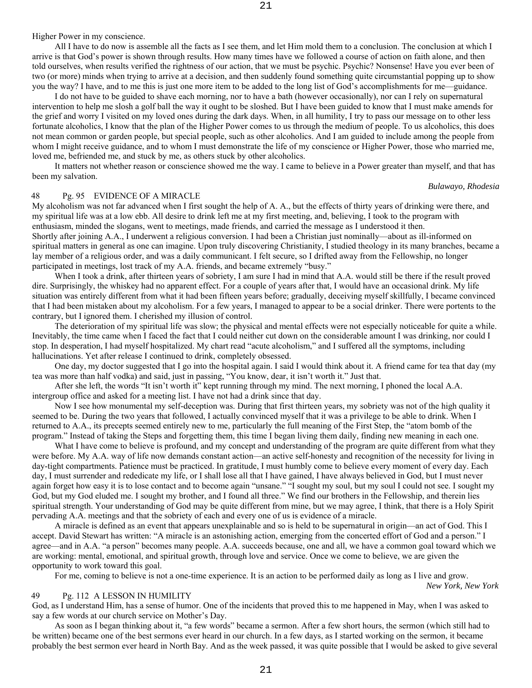Higher Power in my conscience.

All I have to do now is assemble all the facts as I see them, and let Him mold them to a conclusion. The conclusion at which I arrive is that God's power is shown through results. How many times have we followed a course of action on faith alone, and then told ourselves, when results verified the rightness of our action, that we must be psychic. Psychic? Nonsense! Have you ever been of two (or more) minds when trying to arrive at a decision, and then suddenly found something quite circumstantial popping up to show you the way? I have, and to me this is just one more item to be added to the long list of God's accomplishments for me—guidance.

I do not have to be guided to shave each morning, nor to have a bath (however occasionally), nor can I rely on supernatural intervention to help me slosh a golf ball the way it ought to be sloshed. But I have been guided to know that I must make amends for the grief and worry I visited on my loved ones during the dark days. When, in all humility, I try to pass our message on to other less fortunate alcoholics, I know that the plan of the Higher Power comes to us through the medium of people. To us alcoholics, this does not mean common or garden people, but special people, such as other alcoholics. And I am guided to include among the people from whom I might receive guidance, and to whom I must demonstrate the life of my conscience or Higher Power, those who married me, loved me, befriended me, and stuck by me, as others stuck by other alcoholics.

It matters not whether reason or conscience showed me the way. I came to believe in a Power greater than myself, and that has been my salvation.

# 48 Pg. 95 EVIDENCE OF A MIRACLE

My alcoholism was not far advanced when I first sought the help of A. A., but the effects of thirty years of drinking were there, and my spiritual life was at a low ebb. All desire to drink left me at my first meeting, and, believing, I took to the program with enthusiasm, minded the slogans, went to meetings, made friends, and carried the message as I understood it then. Shortly after joining A.A., I underwent a religious conversion. I had been a Christian just nominally—about as ill-informed on spiritual matters in general as one can imagine. Upon truly discovering Christianity, I studied theology in its many branches, became a lay member of a religious order, and was a daily communicant. I felt secure, so I drifted away from the Fellowship, no longer participated in meetings, lost track of my A.A. friends, and became extremely "busy."

When I took a drink, after thirteen years of sobriety, I am sure I had in mind that A.A. would still be there if the result proved dire. Surprisingly, the whiskey had no apparent effect. For a couple of years after that, I would have an occasional drink. My life situation was entirely different from what it had been fifteen years before; gradually, deceiving myself skillfully, I became convinced that I had been mistaken about my alcoholism. For a few years, I managed to appear to be a social drinker. There were portents to the contrary, but I ignored them. I cherished my illusion of control.

The deterioration of my spiritual life was slow; the physical and mental effects were not especially noticeable for quite a while. Inevitably, the time came when I faced the fact that I could neither cut down on the considerable amount I was drinking, nor could I stop. In desperation, I had myself hospitalized. My chart read "acute alcoholism," and I suffered all the symptoms, including hallucinations. Yet after release I continued to drink, completely obsessed.

One day, my doctor suggested that I go into the hospital again. I said I would think about it. A friend came for tea that day (my tea was more than half vodka) and said, just in passing, "You know, dear, it isn't worth it." Just that.

After she left, the words "It isn't worth it" kept running through my mind. The next morning, I phoned the local A.A. intergroup office and asked for a meeting list. I have not had a drink since that day.

Now I see how monumental my self-deception was. During that first thirteen years, my sobriety was not of the high quality it seemed to be. During the two years that followed, I actually convinced myself that it was a privilege to be able to drink. When I returned to A.A., its precepts seemed entirely new to me, particularly the full meaning of the First Step, the "atom bomb of the program." Instead of taking the Steps and forgetting them, this time I began living them daily, finding new meaning in each one.

What I have come to believe is profound, and my concept and understanding of the program are quite different from what they were before. My A.A. way of life now demands constant action—an active self-honesty and recognition of the necessity for living in day-tight compartments. Patience must be practiced. In gratitude, I must humbly come to believe every moment of every day. Each day, I must surrender and rededicate my life, or I shall lose all that I have gained, I have always believed in God, but I must never again forget how easy it is to lose contact and to become again "unsane." "I sought my soul, but my soul I could not see. I sought my God, but my God eluded me. I sought my brother, and I found all three." We find our brothers in the Fellowship, and therein lies spiritual strength. Your understanding of God may be quite different from mine, but we may agree, I think, that there is a Holy Spirit pervading A.A. meetings and that the sobriety of each and every one of us is evidence of a miracle.

A miracle is defined as an event that appears unexplainable and so is held to be supernatural in origin—an act of God. This I accept. David Stewart has written: "A miracle is an astonishing action, emerging from the concerted effort of God and a person." I agree—and in A.A. "a person" becomes many people. A.A. succeeds because, one and all, we have a common goal toward which we are working: mental, emotional, and spiritual growth, through love and service. Once we come to believe, we are given the opportunity to work toward this goal.

For me, coming to believe is not a one-time experience. It is an action to be performed daily as long as I live and grow.

### 49 Pg. 112 A LESSON IN HUMILITY

God, as I understand Him, has a sense of humor. One of the incidents that proved this to me happened in May, when I was asked to say a few words at our church service on Mother's Day.

As soon as I began thinking about it, "a few words" became a sermon. After a few short hours, the sermon (which still had to be written) became one of the best sermons ever heard in our church. In a few days, as I started working on the sermon, it became probably the best sermon ever heard in North Bay. And as the week passed, it was quite possible that I would be asked to give several

### *Bulawayo, Rhodesia*

*New York, New York*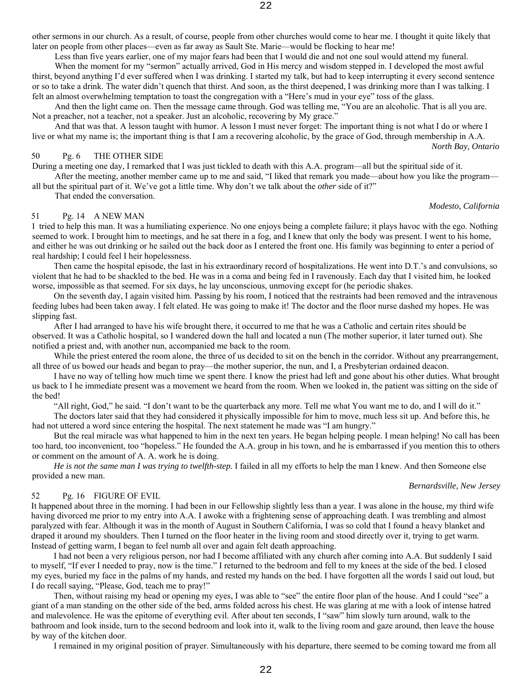other sermons in our church. As a result, of course, people from other churches would come to hear me. I thought it quite likely that later on people from other places—even as far away as Sault Ste. Marie—would be flocking to hear me!

Less than five years earlier, one of my major fears had been that I would die and not one soul would attend my funeral.

When the moment for my "sermon" actually arrived, God in His mercy and wisdom stepped in. I developed the most awful thirst, beyond anything I'd ever suffered when I was drinking. I started my talk, but had to keep interrupting it every second sentence or so to take a drink. The water didn't quench that thirst. And soon, as the thirst deepened, I was drinking more than I was talking. I felt an almost overwhelming temptation to toast the congregation with a "Here's mud in your eye" toss of the glass.

And then the light came on. Then the message came through. God was telling me, "You are an alcoholic. That is all you are. Not a preacher, not a teacher, not a speaker. Just an alcoholic, recovering by My grace."

And that was that. A lesson taught with humor. A lesson I must never forget: The important thing is not what I do or where I live or what my name is; the important thing is that I am a recovering alcoholic, by the grace of God, through membership in A.A.

### 50 Pg. 6 THE OTHER SIDE

During a meeting one day, I remarked that I was just tickled to death with this A.A. program—all but the spiritual side of it.

After the meeting, another member came up to me and said, "I liked that remark you made—about how you like the program all but the spiritual part of it. We've got a little time. Why don't we talk about the *other* side of it?"

That ended the conversation.

### *Modesto, California*

*Bernardsville, New Jersey* 

*North Bay, Ontario* 

# 51 Pg. 14 A NEW MAN

I tried to help this man. It was a humiliating experience. No one enjoys being a complete failure; it plays havoc with the ego. Nothing seemed to work. I brought him to meetings, and he sat there in a fog, and I knew that only the body was present. I went to his home, and either he was out drinking or he sailed out the back door as I entered the front one. His family was beginning to enter a period of real hardship; I could feel I heir hopelessness.

Then came the hospital episode, the last in his extraordinary record of hospitalizations. He went into D.T.'s and convulsions, so violent that he had to be shackled to the bed. He was in a coma and being fed in I ravenously. Each day that I visited him, he looked worse, impossible as that seemed. For six days, he lay unconscious, unmoving except for (he periodic shakes.

On the seventh day, I again visited him. Passing by his room, I noticed that the restraints had been removed and the intravenous feeding lubes had been taken away. I felt elated. He was going to make it! The doctor and the floor nurse dashed my hopes. He was slipping fast.

After I had arranged to have his wife brought there, it occurred to me that he was a Catholic and certain rites should be observed. It was a Catholic hospital, so I wandered down the hall and located a nun (The mother superior, it later turned out). She notified a priest and, with another nun, accompanied me back to the room.

While the priest entered the room alone, the three of us decided to sit on the bench in the corridor. Without any prearrangement, all three of us bowed our heads and began to pray—the mother superior, the nun, and I, a Presbyterian ordained deacon.

I have no way of telling how much time we spent there. I know the priest had left and gone about his other duties. What brought us back to I he immediate present was a movement we heard from the room. When we looked in, the patient was sitting on the side of the bed!

"All right, God," he said. "I don't want to be the quarterback any more. Tell me what You want me to do, and I will do it."

The doctors later said that they had considered it physically impossible for him to move, much less sit up. And before this, he had not uttered a word since entering the hospital. The next statement he made was "I am hungry."

But the real miracle was what happened to him in the next ten years. He began helping people. I mean helping! No call has been too hard, too inconvenient, too "hopeless." He founded the A.A. group in his town, and he is embarrassed if you mention this to others or comment on the amount of A. A. work he is doing.

*He is not the same man I was trying to twelfth-step.* I failed in all my efforts to help the man I knew. And then Someone else provided a new man.

# 52 Pg. 16 FIGURE OF EVIL

It happened about three in the morning. I had been in our Fellowship slightly less than a year. I was alone in the house, my third wife having divorced me prior to my entry into A.A. I awoke with a frightening sense of approaching death. I was trembling and almost paralyzed with fear. Although it was in the month of August in Southern California, I was so cold that I found a heavy blanket and draped it around my shoulders. Then I turned on the floor heater in the living room and stood directly over it, trying to get warm. Instead of getting warm, I began to feel numb all over and again felt death approaching.

I had not been a very religious person, nor had I become affiliated with any church after coming into A.A. But suddenly I said to myself, "If ever I needed to pray, now is the time." I returned to the bedroom and fell to my knees at the side of the bed. I closed my eyes, buried my face in the palms of my hands, and rested my hands on the bed. I have forgotten all the words I said out loud, but I do recall saying, "Please, God, teach me to pray!"

Then, without raising my head or opening my eyes, I was able to "see" the entire floor plan of the house. And I could "see" a giant of a man standing on the other side of the bed, arms folded across his chest. He was glaring at me with a look of intense hatred and malevolence. He was the epitome of everything evil. After about ten seconds, I "saw" him slowly turn around, walk to the bathroom and look inside, turn to the second bedroom and look into it, walk to the living room and gaze around, then leave the house by way of the kitchen door.

I remained in my original position of prayer. Simultaneously with his departure, there seemed to be coming toward me from all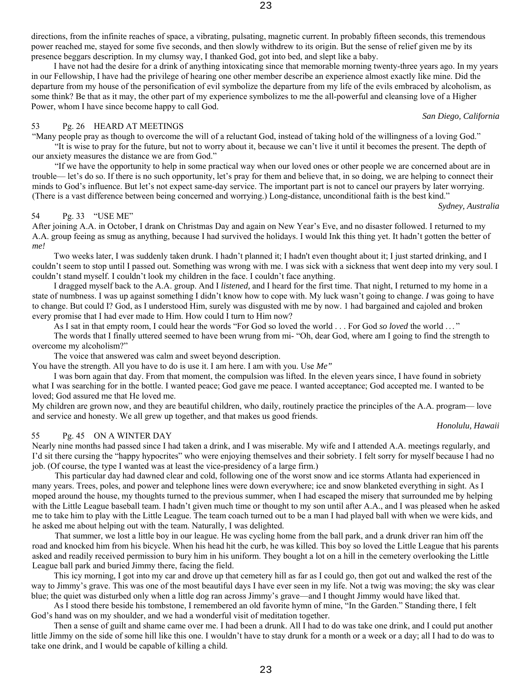directions, from the infinite reaches of space, a vibrating, pulsating, magnetic current. In probably fifteen seconds, this tremendous power reached me, stayed for some five seconds, and then slowly withdrew to its origin. But the sense of relief given me by its presence beggars description. In my clumsy way, I thanked God, got into bed, and slept like a baby.

I have not had the desire for a drink of anything intoxicating since that memorable morning twenty-three years ago. In my years in our Fellowship, I have had the privilege of hearing one other member describe an experience almost exactly like mine. Did the departure from my house of the personification of evil symbolize the departure from my life of the evils embraced by alcoholism, as some think? Be that as it may, the other part of my experience symbolizes to me the all-powerful and cleansing love of a Higher Power, whom I have since become happy to call God.

### *San Diego, California*

## 53 Pg. 26 HEARD AT MEETINGS

"Many people pray as though to overcome the will of a reluctant God, instead of taking hold of the willingness of a loving God."

"It is wise to pray for the future, but not to worry about it, because we can't live it until it becomes the present. The depth of our anxiety measures the distance we are from God."

"If we have the opportunity to help in some practical way when our loved ones or other people we are concerned about are in trouble— let's do so. If there is no such opportunity, let's pray for them and believe that, in so doing, we are helping to connect their minds to God's influence. But let's not expect same-day service. The important part is not to cancel our prayers by later worrying. (There is a vast difference between being concerned and worrying.) Long-distance, unconditional faith is the best kind."

*Sydney, Australia*

# 54 Pg. 33 "USE ME"

After joining A.A. in October, I drank on Christmas Day and again on New Year's Eve, and no disaster followed. I returned to my A.A. group feeing as smug as anything, because I had survived the holidays. I would Ink this thing yet. It hadn't gotten the better of *me!*

Two weeks later, I was suddenly taken drunk. I hadn't planned it; I hadn't even thought about it; I just started drinking, and I couldn't seem to stop until I passed out. Something was wrong with me. I was sick with a sickness that went deep into my very soul. I couldn't stand myself. I couldn't look my children in the face. I couldn't face anything.

I dragged myself back to the A.A. group. And I *listened,* and I heard for the first time. That night, I returned to my home in a state of numbness. I was up against something I didn't know how to cope with. My luck wasn't going to change. *I* was going to have to change. But could I? God, as I understood Him, surely was disgusted with me by now. 1 had bargained and cajoled and broken every promise that I had ever made to Him. How could I turn to Him now?

As I sat in that empty room, I could hear the words "For God so loved the world . . . For God *so loved* the world . . . "

The words that I finally uttered seemed to have been wrung from mi- "Oh, dear God, where am I going to find the strength to overcome my alcoholism?"

The voice that answered was calm and sweet beyond description.

You have the strength. All you have to do is use it. I am here. I am with you. Use *Me"*

I was born again that day. From that moment, the compulsion was lifted. In the eleven years since, I have found in sobriety what I was searching for in the bottle. I wanted peace; God gave me peace. I wanted acceptance; God accepted me. I wanted to be loved; God assured me that He loved me.

My children are grown now, and they are beautiful children, who daily, routinely practice the principles of the A.A. program— love and service and honesty. We all grew up together, and that makes us good friends.

### *Honolulu, Hawaii*

# 55 Pg. 45 ON A WINTER DAY

Nearly nine months had passed since I had taken a drink, and I was miserable. My wife and I attended A.A. meetings regularly, and I'd sit there cursing the "happy hypocrites" who were enjoying themselves and their sobriety. I felt sorry for myself because I had no job. (Of course, the type I wanted was at least the vice-presidency of a large firm.)

This particular day had dawned clear and cold, following one of the worst snow and ice storms Atlanta had experienced in many years. Trees, poles, and power and telephone lines were down everywhere; ice and snow blanketed everything in sight. As I moped around the house, my thoughts turned to the previous summer, when I had escaped the misery that surrounded me by helping with the Little League baseball team. I hadn't given much time or thought to my son until after A.A., and I was pleased when he asked me to take him to play with the Little League. The team coach turned out to be a man I had played ball with when we were kids, and he asked me about helping out with the team. Naturally, I was delighted.

That summer, we lost a little boy in our league. He was cycling home from the ball park, and a drunk driver ran him off the road and knocked him from his bicycle. When his head hit the curb, he was killed. This boy so loved the Little League that his parents asked and readily received permission to bury him in his uniform. They bought a lot on a hill in the cemetery overlooking the Little League ball park and buried Jimmy there, facing the field.

This icy morning, I got into my car and drove up that cemetery hill as far as I could go, then got out and walked the rest of the way to Jimmy's grave. This was one of the most beautiful days I have ever seen in my life. Not a twig was moving; the sky was clear blue; the quiet was disturbed only when a little dog ran across Jimmy's grave—and I thought Jimmy would have liked that.

As I stood there beside his tombstone, I remembered an old favorite hymn of mine, "In the Garden." Standing there, I felt God's hand was on my shoulder, and we had a wonderful visit of meditation together.

Then a sense of guilt and shame came over me. I had been a drunk. All I had to do was take one drink, and I could put another little Jimmy on the side of some hill like this one. I wouldn't have to stay drunk for a month or a week or a day; all I had to do was to take one drink, and I would be capable of killing a child.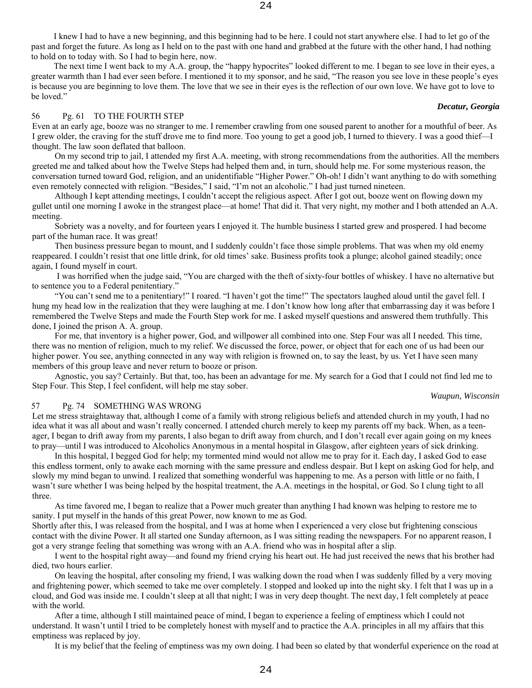I knew I had to have a new beginning, and this beginning had to be here. I could not start anywhere else. I had to let go of the past and forget the future. As long as I held on to the past with one hand and grabbed at the future with the other hand, I had nothing to hold on to today with. So I had to begin here, now.

The next time I went back to my A.A. group, the "happy hypocrites" looked different to me. I began to see love in their eyes, a greater warmth than I had ever seen before. I mentioned it to my sponsor, and he said, "The reason you see love in these people's eyes is because you are beginning to love them. The love that we see in their eyes is the reflection of our own love. We have got to love to be loved."

### *Decatur, Georgia*

## 56 Pg. 61 TO THE FOURTH STEP

Even at an early age, booze was no stranger to me. I remember crawling from one soused parent to another for a mouthful of beer. As I grew older, the craving for the stuff drove me to find more. Too young to get a good job, I turned to thievery. I was a good thief—I thought. The law soon deflated that balloon.

On my second trip to jail, I attended my first A.A. meeting, with strong recommendations from the authorities. All the members greeted me and talked about how the Twelve Steps had helped them and, in turn, should help me. For some mysterious reason, the conversation turned toward God, religion, and an unidentifiable "Higher Power." Oh-oh! I didn't want anything to do with something even remotely connected with religion. "Besides," I said, "I'm not an alcoholic." I had just turned nineteen.

Although I kept attending meetings, I couldn't accept the religious aspect. After I got out, booze went on flowing down my gullet until one morning I awoke in the strangest place—at home! That did it. That very night, my mother and I both attended an A.A. meeting.

Sobriety was a novelty, and for fourteen years I enjoyed it. The humble business I started grew and prospered. I had become part of the human race. It was great!

Then business pressure began to mount, and I suddenly couldn't face those simple problems. That was when my old enemy reappeared. I couldn't resist that one little drink, for old times' sake. Business profits took a plunge; alcohol gained steadily; once again, I found myself in court.

 I was horrified when the judge said, "You are charged with the theft of sixty-four bottles of whiskey. I have no alternative but to sentence you to a Federal penitentiary."

"You can't send me to a penitentiary!" I roared. "I haven't got the time!" The spectators laughed aloud until the gavel fell. I hung my head low in the realization that they were laughing at me. I don't know how long after that embarrassing day it was before I remembered the Twelve Steps and made the Fourth Step work for me. I asked myself questions and answered them truthfully. This done, I joined the prison A. A. group.

For me, that inventory is a higher power, God, and willpower all combined into one. Step Four was all I needed. This time, there was no mention of religion, much to my relief. We discussed the force, power, or object that for each one of us had been our higher power. You see, anything connected in any way with religion is frowned on, to say the least, by us. Yet I have seen many members of this group leave and never return to booze or prison.

Agnostic, you say? Certainly. But that, too, has been an advantage for me. My search for a God that I could not find led me to Step Four. This Step, I feel confident, will help me stay sober.

### *Waupun, Wisconsin*

## 57 Pg. 74 SOMETHING WAS WRONG

Let me stress straightaway that, although I come of a family with strong religious beliefs and attended church in my youth, I had no idea what it was all about and wasn't really concerned. I attended church merely to keep my parents off my back. When, as a teenager, I began to drift away from my parents, I also began to drift away from church, and I don't recall ever again going on my knees to pray—until I was introduced to Alcoholics Anonymous in a mental hospital in Glasgow, after eighteen years of sick drinking.

In this hospital, I begged God for help; my tormented mind would not allow me to pray for it. Each day, I asked God to ease this endless torment, only to awake each morning with the same pressure and endless despair. But I kept on asking God for help, and slowly my mind began to unwind. I realized that something wonderful was happening to me. As a person with little or no faith, I wasn't sure whether I was being helped by the hospital treatment, the A.A. meetings in the hospital, or God. So I clung tight to all three.

As time favored me, I began to realize that a Power much greater than anything I had known was helping to restore me to sanity. I put myself in the hands of this great Power, now known to me as God.

Shortly after this, I was released from the hospital, and I was at home when I experienced a very close but frightening conscious contact with the divine Power. It all started one Sunday afternoon, as I was sitting reading the newspapers. For no apparent reason, I got a very strange feeling that something was wrong with an A.A. friend who was in hospital after a slip.

I went to the hospital right away—and found my friend crying his heart out. He had just received the news that his brother had died, two hours earlier.

On leaving the hospital, after consoling my friend, I was walking down the road when I was suddenly filled by a very moving and frightening power, which seemed to take me over completely. I stopped and looked up into the night sky. I felt that I was up in a cloud, and God was inside me. I couldn't sleep at all that night; I was in very deep thought. The next day, I felt completely at peace with the world.

After a time, although I still maintained peace of mind, I began to experience a feeling of emptiness which I could not understand. It wasn't until I tried to be completely honest with myself and to practice the A.A. principles in all my affairs that this emptiness was replaced by joy.

It is my belief that the feeling of emptiness was my own doing. I had been so elated by that wonderful experience on the road at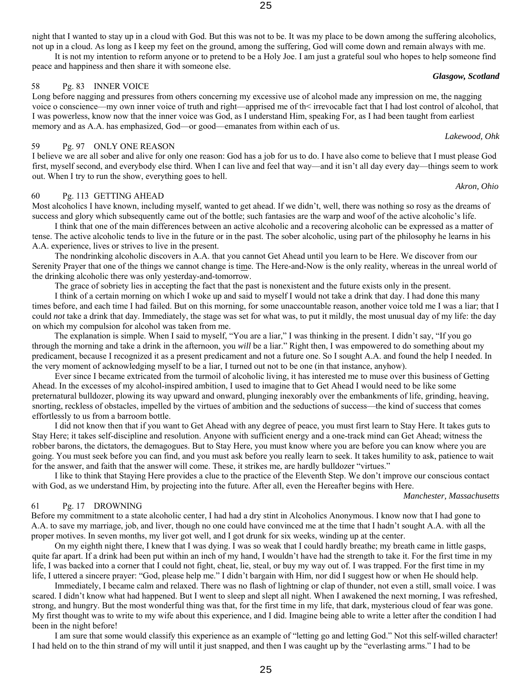night that I wanted to stay up in a cloud with God. But this was not to be. It was my place to be down among the suffering alcoholics, not up in a cloud. As long as I keep my feet on the ground, among the suffering, God will come down and remain always with me.

It is not my intention to reform anyone or to pretend to be a Holy Joe. I am just a grateful soul who hopes to help someone find peace and happiness and then share it with someone else. *Glasgow, Scotland* 

# 58 Pg. 83 INNER VOICE

Long before nagging and pressures from others concerning my excessive use of alcohol made any impression on me, the nagging voice o conscience—my own inner voice of truth and right—apprised me of th< irrevocable fact that I had lost control of alcohol, that I was powerless, know now that the inner voice was God, as I understand Him, speaking For, as I had been taught from earliest memory and as A.A. has emphasized, God—or good—emanates from within each of us.

# 59 Pg. 97 ONLY ONE REASON

I believe we are all sober and alive for only one reason: God has a job for us to do. I have also come to believe that I must please God first, myself second, and everybody else third. When I can live and feel that way—and it isn't all day every day—things seem to work out. When I try to run the show, everything goes to hell.

# 60 Pg. 113 GETTING AHEAD

Most alcoholics I have known, including myself, wanted to get ahead. If we didn't, well, there was nothing so rosy as the dreams of success and glory which subsequently came out of the bottle; such fantasies are the warp and woof of the active alcoholic's life.

I think that one of the main differences between an active alcoholic and a recovering alcoholic can be expressed as a matter of tense. The active alcoholic tends to live in the future or in the past. The sober alcoholic, using part of the philosophy he learns in his A.A. experience, lives or strives to live in the present.

The nondrinking alcoholic discovers in A.A. that you cannot Get Ahead until you learn to be Here. We discover from our Serenity Prayer that one of the things we cannot change is time. The Here-and-Now is the only reality, whereas in the unreal world of the drinking alcoholic there was only yesterday-and-tomorrow.

The grace of sobriety lies in accepting the fact that the past is nonexistent and the future exists only in the present.

I think of a certain morning on which I woke up and said to myself I would not take a drink that day. I had done this many times before, and each time I had failed. But on this morning, for some unaccountable reason, another voice told me I was a liar; that I could *not* take a drink that day. Immediately, the stage was set for what was, to put it mildly, the most unusual day of my life: the day on which my compulsion for alcohol was taken from me.

The explanation is simple. When I said to myself, "You are a liar," I was thinking in the present. I didn't say, "If you go through the morning and take a drink in the afternoon, you *will* be a liar." Right then, I was empowered to do something about my predicament, because I recognized it as a present predicament and not a future one. So I sought A.A. and found the help I needed. In the very moment of acknowledging myself to be a liar, I turned out not to be one (in that instance, anyhow).

Ever since I became extricated from the turmoil of alcoholic living, it has interested me to muse over this business of Getting Ahead. In the excesses of my alcohol-inspired ambition, I used to imagine that to Get Ahead I would need to be like some preternatural bulldozer, plowing its way upward and onward, plunging inexorably over the embankments of life, grinding, heaving, snorting, reckless of obstacles, impelled by the virtues of ambition and the seductions of success—the kind of success that comes effortlessly to us from a barroom bottle.

I did not know then that if you want to Get Ahead with any degree of peace, you must first learn to Stay Here. It takes guts to Stay Here; it takes self-discipline and resolution. Anyone with sufficient energy and a one-track mind can Get Ahead; witness the robber barons, the dictators, the demagogues. But to Stay Here, you must know where you are before you can know where you are going. You must seek before you can find, and you must ask before you really learn to seek. It takes humility to ask, patience to wait for the answer, and faith that the answer will come. These, it strikes me, are hardly bulldozer "virtues."

I like to think that Staying Here provides a clue to the practice of the Eleventh Step. We don't improve our conscious contact with God, as we understand Him, by projecting into the future. After all, even the Hereafter begins with Here.

*Manchester, Massachusetts* 

# 61 Pg. 17 DROWNING

Before my commitment to a state alcoholic center, I had had a dry stint in Alcoholics Anonymous. I know now that I had gone to A.A. to save my marriage, job, and liver, though no one could have convinced me at the time that I hadn't sought A.A. with all the proper motives. In seven months, my liver got well, and I got drunk for six weeks, winding up at the center.

On my eighth night there, I knew that I was dying. I was so weak that I could hardly breathe; my breath came in little gasps, quite far apart. If a drink had been put within an inch of my hand, I wouldn't have had the strength to take it. For the first time in my life, I was backed into a corner that I could not fight, cheat, lie, steal, or buy my way out of. I was trapped. For the first time in my life, I uttered a sincere prayer: "God, please help me." I didn't bargain with Him, nor did I suggest how or when He should help.

Immediately, I became calm and relaxed. There was no flash of lightning or clap of thunder, not even a still, small voice. I was scared. I didn't know what had happened. But I went to sleep and slept all night. When I awakened the next morning, I was refreshed, strong, and hungry. But the most wonderful thing was that, for the first time in my life, that dark, mysterious cloud of fear was gone. My first thought was to write to my wife about this experience, and I did. Imagine being able to write a letter after the condition I had been in the night before!

I am sure that some would classify this experience as an example of "letting go and letting God." Not this self-willed character! I had held on to the thin strand of my will until it just snapped, and then I was caught up by the "everlasting arms." I had to be

### *Lakewood, Ohk*

*Akron, Ohio*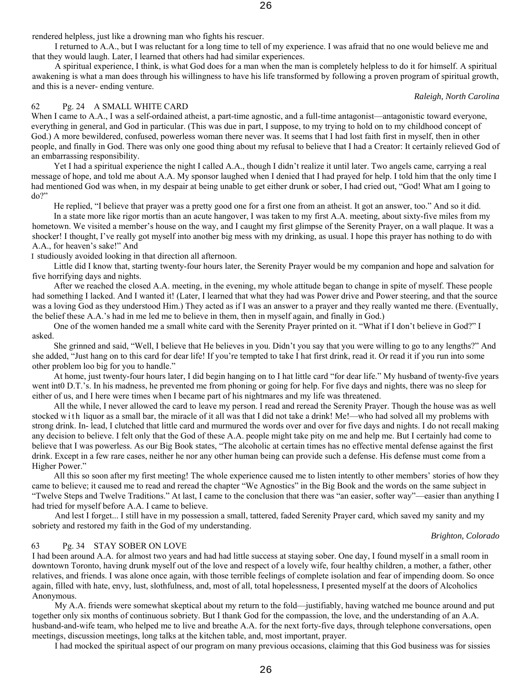26

rendered helpless, just like a drowning man who fights his rescuer.

I returned to A.A., but I was reluctant for a long time to tell of my experience. I was afraid that no one would believe me and that they would laugh. Later, I learned that others had had similar experiences.

A spiritual experience, I think, is what God does for a man when the man is completely helpless to do it for himself. A spiritual awakening is what a man does through his willingness to have his life transformed by following a proven program of spiritual growth, and this is a never- ending venture.

# *Raleigh, North Carolina*

# 62 Pg. 24 A SMALL WHITE CARD

When I came to A.A., I was a self-ordained atheist, a part-time agnostic, and a full-time antagonist—antagonistic toward everyone, everything in general, and God in particular. (This was due in part, I suppose, to my trying to hold on to my childhood concept of God.) A more bewildered, confused, powerless woman there never was. It seems that I had lost faith first in myself, then in other people, and finally in God. There was only one good thing about my refusal to believe that I had a Creator: It certainly relieved God of an embarrassing responsibility.

Yet I had a spiritual experience the night I called A.A., though I didn't realize it until later. Two angels came, carrying a real message of hope, and told me about A.A. My sponsor laughed when I denied that I had prayed for help. I told him that the only time I had mentioned God was when, in my despair at being unable to get either drunk or sober, I had cried out, "God! What am I going to do?"

He replied, "I believe that prayer was a pretty good one for a first one from an atheist. It got an answer, too." And so it did.

In a state more like rigor mortis than an acute hangover, I was taken to my first A.A. meeting, about sixty-five miles from my hometown. We visited a member's house on the way, and I caught my first glimpse of the Serenity Prayer, on a wall plaque. It was a shocker! I thought, I've really got myself into another big mess with my drinking, as usual. I hope this prayer has nothing to do with A.A., for heaven's sake!" And

I studiously avoided looking in that direction all afternoon.

Little did I know that, starting twenty-four hours later, the Serenity Prayer would be my companion and hope and salvation for five horrifying days and nights.

After we reached the closed A.A. meeting, in the evening, my whole attitude began to change in spite of myself. These people had something I lacked. And I wanted it! (Later, I learned that what they had was Power drive and Power steering, and that the source was a loving God as they understood Him.) They acted as if I was an answer to a prayer and they really wanted me there. (Eventually, the belief these A.A.'s had in me led me to believe in them, then in myself again, and finally in God.)

One of the women handed me a small white card with the Serenity Prayer printed on it. "What if I don't believe in God?" I asked.

She grinned and said, "Well, I believe that He believes in you. Didn't you say that you were willing to go to any lengths?" And she added, "Just hang on to this card for dear life! If you're tempted to take I hat first drink, read it. Or read it if you run into some other problem loo big for you to handle."

At home, just twenty-four hours later, I did begin hanging on to I hat little card "for dear life." My husband of twenty-five years went int0 D.T.'s. In his madness, he prevented me from phoning or going for help. For five days and nights, there was no sleep for either of us, and I here were times when I became part of his nightmares and my life was threatened.

All the while, I never allowed the card to leave my person. I read and reread the Serenity Prayer. Though the house was as well stocked with liquor as a small bar, the miracle of it all was that I did not take a drink! Me!—who had solved all my problems with strong drink. In- lead, I clutched that little card and murmured the words over and over for five days and nights. I do not recall making any decision to believe. I felt only that the God of these A.A. people might take pity on me and help me. But I certainly had come to believe that I was powerless. As our Big Book states, "The alcoholic at certain times has no effective mental defense against the first drink. Except in a few rare cases, neither he nor any other human being can provide such a defense. His defense must come from a Higher Power."

All this so soon after my first meeting! The whole experience caused me to listen intently to other members' stories of how they came to believe; it caused me to read and reread the chapter "We Agnostics" in the Big Book and the words on the same subject in "Twelve Steps and Twelve Traditions." At last, I came to the conclusion that there was "an easier, softer way"—easier than anything I had tried for myself before A.A. I came to believe.

And lest I forget... I still have in my possession a small, tattered, faded Serenity Prayer card, which saved my sanity and my sobriety and restored my faith in the God of my understanding.

*Brighton, Colorado* 

# 63 Pg. 34 STAY SOBER ON LOVE

I had been around A.A. for almost two years and had had little success at staying sober. One day, I found myself in a small room in downtown Toronto, having drunk myself out of the love and respect of a lovely wife, four healthy children, a mother, a father, other relatives, and friends. I was alone once again, with those terrible feelings of complete isolation and fear of impending doom. So once again, filled with hate, envy, lust, slothfulness, and, most of all, total hopelessness, I presented myself at the doors of Alcoholics Anonymous.

My A.A. friends were somewhat skeptical about my return to the fold—justifiably, having watched me bounce around and put together only six months of continuous sobriety. But I thank God for the compassion, the love, and the understanding of an A.A. husband-and-wife team, who helped me to live and breathe A.A. for the next forty-five days, through telephone conversations, open meetings, discussion meetings, long talks at the kitchen table, and, most important, prayer.

I had mocked the spiritual aspect of our program on many previous occasions, claiming that this God business was for sissies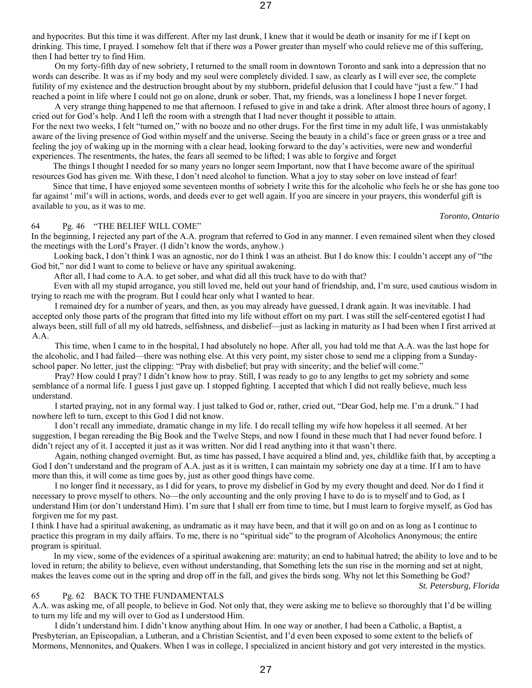and hypocrites. But this time it was different. After my last drunk, I knew that it would be death or insanity for me if I kept on drinking. This time, I prayed. I somehow felt that if there *was* a Power greater than myself who could relieve me of this suffering, then I had better try to find Him.

On my forty-fifth day of new sobriety, I returned to the small room in downtown Toronto and sank into a depression that no words can describe. It was as if my body and my soul were completely divided. I saw, as clearly as I will ever see, the complete futility of my existence and the destruction brought about by my stubborn, prideful delusion that I could have "just a few." I had reached a point in life where I could not go on alone, drunk or sober. That, my friends, was a loneliness I hope I never forget.

A very strange thing happened to me that afternoon. I refused to give in and take a drink. After almost three hours of agony, I cried out for God's help. And I left the room with a strength that I had never thought it possible to attain. For the next two weeks, I felt "turned on," with no booze and no other drugs. For the first time in my adult life, I was unmistakably aware of the living presence of God within myself and the universe. Seeing the beauty in a child's face or green grass or a tree and

feeling the joy of waking up in the morning with a clear head, looking forward to the day's activities, were new and wonderful experiences. The resentments, the hates, the fears all seemed to be lifted; I was able to forgive and forget

The things I thought I needed for so many years no longer seem Important, now that I have become aware of the spiritual resources God has given me. With these, I don't need alcohol to function. What a joy to stay sober on love instead of fear!

Since that time, I have enjoyed some seventeen months of sobriety I write this for the alcoholic who feels he or she has gone too far against ' mil's will in actions, words, and deeds ever to get well again. If you are sincere in your prayers, this wonderful gift is available to you, as it was to me.

## *Toronto, Ontario*

# 64 Pg. 46 "THE BELIEF WILL COME"

In the beginning, I rejected any part of the A.A. program that referred to God in any manner. I even remained silent when they closed the meetings with the Lord's Prayer. (I didn't know the words, anyhow.)

Looking back, I don't think I was an agnostic, nor do I think I was an atheist. But I do know this: I couldn't accept any of "the God bit," nor did I want to come to believe or have any spiritual awakening.

After all, I had come to A.A. to get sober, and what did all this truck have to do with that?

Even with all my stupid arrogance, you still loved me, held out your hand of friendship, and, I'm sure, used cautious wisdom in trying to reach me with the program. But I could hear only what I wanted to hear.

I remained dry for a number of years, and then, as you may already have guessed, I drank again. It was inevitable. I had accepted only those parts of the program that fitted into my life without effort on my part. I was still the self-centered egotist I had always been, still full of all my old hatreds, selfishness, and disbelief—just as lacking in maturity as I had been when I first arrived at A.A.

This time, when I came to in the hospital, I had absolutely no hope. After all, you had told me that A.A. was the last hope for the alcoholic, and I had failed—there was nothing else. At this very point, my sister chose to send me a clipping from a Sundayschool paper. No letter, just the clipping: "Pray with disbelief; but pray with sincerity; and the belief will come."

Pray? How could I pray? I didn't know how to pray. Still, I was ready to go to any lengths to get my sobriety and some semblance of a normal life. I guess I just gave up. I stopped fighting. I accepted that which I did not really believe, much less understand.

I started praying, not in any formal way. I just talked to God or, rather, cried out, "Dear God, help me. I'm a drunk." I had nowhere left to turn, except to this God I did not know.

I don't recall any immediate, dramatic change in my life. I do recall telling my wife how hopeless it all seemed. At her suggestion, I began rereading the Big Book and the Twelve Steps, and now I found in these much that I had never found before. I didn't reject any of it. I accepted it just as it was written. Nor did I read anything into it that wasn't there.

Again, nothing changed overnight. But, as time has passed, I have acquired a blind and, yes, childlike faith that, by accepting a God I don't understand and the program of A.A. just as it is written, I can maintain my sobriety one day at a time. If I am to have more than this, it will come as time goes by, just as other good things have come.

I no longer find it necessary, as I did for years, to prove my disbelief in God by my every thought and deed. Nor do I find it necessary to prove myself to others. No—the only accounting and the only proving I have to do is to myself and to God, as I understand Him (or don't understand Him). I'm sure that I shall err from time to time, but I must learn to forgive myself, as God has forgiven me for my past.

I think I have had a spiritual awakening, as undramatic as it may have been, and that it will go on and on as long as I continue to practice this program in my daily affairs. To me, there is no "spiritual side" to the program of Alcoholics Anonymous; the entire program is spiritual.

In my view, some of the evidences of a spiritual awakening are: maturity; an end to habitual hatred; the ability to love and to be loved in return; the ability to believe, even without understanding, that Something lets the sun rise in the morning and set at night, makes the leaves come out in the spring and drop off in the fall, and gives the birds song. Why not let this Something be God?

*St. Petersburg, Florida* 

### 65 Pg. 62 BACK TO THE FUNDAMENTALS

A.A. was asking me, of all people, to believe in God. Not only that, they were asking me to believe so thoroughly that I'd be willing to turn my life and my will over to God as I understood Him.

I didn't understand him. I didn't know anything about Him. In one way or another, I had been a Catholic, a Baptist, a Presbyterian, an Episcopalian, a Lutheran, and a Christian Scientist, and I'd even been exposed to some extent to the beliefs of Mormons, Mennonites, and Quakers. When I was in college, I specialized in ancient history and got very interested in the mystics.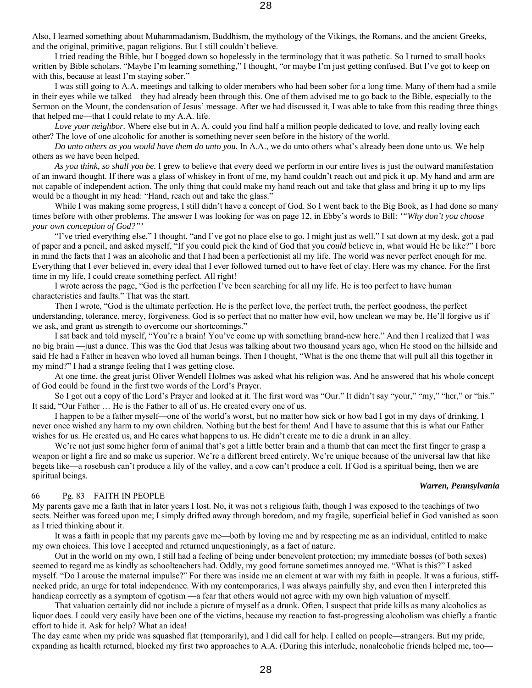Also, I learned something about Muhammadanism, Buddhism, the mythology of the Vikings, the Romans, and the ancient Greeks, and the original, primitive, pagan religions. But I still couldn't believe.

I tried reading the Bible, but I bogged down so hopelessly in the terminology that it was pathetic. So I turned to small books written by Bible scholars. "Maybe I'm learning something," I thought, "or maybe I'm just getting confused. But I've got to keep on with this, because at least I'm staying sober."

I was still going to A.A. meetings and talking to older members who had been sober for a long time. Many of them had a smile in their eyes while we talked—they had already been through this. One of them advised me to go back to the Bible, especially to the Sermon on the Mount, the condensation of Jesus' message. After we had discussed it, I was able to take from this reading three things that helped me—that I could relate to my A.A. life.

*Love your neighbor.* Where else but in A. A. could you find half a million people dedicated to love, and really loving each other? The love of one alcoholic for another is something never seen before in the history of the world.

*Do unto others as you would have them do unto you.* In A.A., we do unto others what's already been done unto us. We help others as we have been helped.

*As you think, so shall you be.* I grew to believe that every deed we perform in our entire lives is just the outward manifestation of an inward thought. If there was a glass of whiskey in front of me, my hand couldn't reach out and pick it up. My hand and arm are not capable of independent action. The only thing that could make my hand reach out and take that glass and bring it up to my lips would be a thought in my head: "Hand, reach out and take the glass."

While I was making some progress, I still didn't have a concept of God. So I went back to the Big Book, as I had done so many times before with other problems. The answer I was looking for was on page 12, in Ebby's words to Bill: *'"Why don't you choose your own conception of God?"'*

"I've tried everything else," I thought, "and I've got no place else to go. I might just as well." I sat down at my desk, got a pad of paper and a pencil, and asked myself, "If you could pick the kind of God that you *could* believe in, what would He be like?" I bore in mind the facts that I was an alcoholic and that I had been a perfectionist all my life. The world was never perfect enough for me. Everything that I ever believed in, every ideal that I ever followed turned out to have feet of clay. Here was my chance. For the first time in my life, I could create something perfect. All right!

I wrote across the page, "God is the perfection I've been searching for all my life. He is too perfect to have human characteristics and faults." That was the start.

Then I wrote, "God is the ultimate perfection. He is the perfect love, the perfect truth, the perfect goodness, the perfect understanding, tolerance, mercy, forgiveness. God is so perfect that no matter how evil, how unclean we may be, He'll forgive us if we ask, and grant us strength to overcome our shortcomings."

I sat back and told myself, "You're a brain! You've come up with something brand-new here." And then I realized that I was no big brain —just a dunce. This was the God that Jesus was talking about two thousand years ago, when He stood on the hillside and said He had a Father in heaven who loved all human beings. Then I thought, "What is the one theme that will pull all this together in my mind?" I had a strange feeling that I was getting close.

At one time, the great jurist Oliver Wendell Holmes was asked what his religion was. And he answered that his whole concept of God could be found in the first two words of the Lord's Prayer.

So I got out a copy of the Lord's Prayer and looked at it. The first word was "Our." It didn't say "your," "my," "her," or "his." It said, "Our Father … He is the Father to all of us. He created every one of us.

I happen to be a father myself—one of the world's worst, but no matter how sick or how bad I got in my days of drinking, I never once wished any harm to my own children. Nothing but the best for them! And I have to assume that this is what our Father wishes for us. He created us, and He cares what happens to us. He didn't create me to die a drunk in an alley.

We're not just some higher form of animal that's got a little better brain and a thumb that can meet the first finger to grasp a weapon or light a fire and so make us superior. We're a different breed entirely. We're unique because of the universal law that like begets like—a rosebush can't produce a lily of the valley, and a cow can't produce a colt. If God is a spiritual being, then we are spiritual beings.

# 66 Pg. 83 FAITH IN PEOPLE

*Warren, Pennsylvania* 

My parents gave me a faith that in later years I lost. No, it was not s religious faith, though I was exposed to the teachings of two sects. Neither was forced upon me; I simply drifted away through boredom, and my fragile, superficial belief in God vanished as soon as I tried thinking about it.

It was a faith in people that my parents gave me—both by loving me and by respecting me as an individual, entitled to make my own choices. This love I accepted and returned unquestioningly, as a fact of nature.

Out in the world on my own, I still had a feeling of being under benevolent protection; my immediate bosses (of both sexes) seemed to regard me as kindly as schoolteachers had. Oddly, my good fortune sometimes annoyed me. "What is this?" I asked myself. "Do I arouse the maternal impulse?" For there was inside me an element at war with my faith in people. It was a furious, stiffnecked pride, an urge for total independence. With my contemporaries, I was always painfully shy, and even then I interpreted this handicap correctly as a symptom of egotism —a fear that others would not agree with my own high valuation of myself.

That valuation certainly did not include a picture of myself as a drunk. Often, I suspect that pride kills as many alcoholics as liquor does. I could very easily have been one of the victims, because my reaction to fast-progressing alcoholism was chiefly a frantic effort to hide it. Ask for help? What an idea!

The day came when my pride was squashed flat (temporarily), and I did call for help. I called on people—strangers. But my pride, expanding as health returned, blocked my first two approaches to A.A. (During this interlude, nonalcoholic friends helped me, too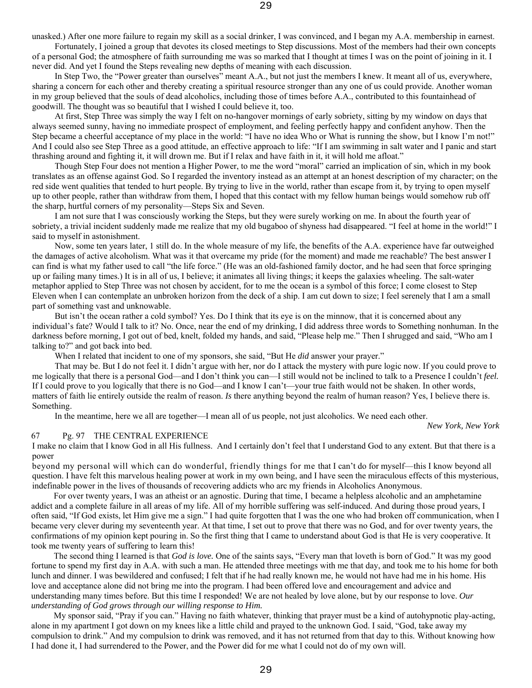unasked.) After one more failure to regain my skill as a social drinker, I was convinced, and I began my A.A. membership in earnest.

Fortunately, I joined a group that devotes its closed meetings to Step discussions. Most of the members had their own concepts of a personal God; the atmosphere of faith surrounding me was so marked that I thought at times I was on the point of joining in it. I never did. And yet I found the Steps revealing new depths of meaning with each discussion.

In Step Two, the "Power greater than ourselves" meant A.A., but not just the members I knew. It meant all of us, everywhere, sharing a concern for each other and thereby creating a spiritual resource stronger than any one of us could provide. Another woman in my group believed that the souls of dead alcoholics, including those of times before A.A., contributed to this fountainhead of goodwill. The thought was so beautiful that I wished I could believe it, too.

At first, Step Three was simply the way I felt on no-hangover mornings of early sobriety, sitting by my window on days that always seemed sunny, having no immediate prospect of employment, and feeling perfectly happy and confident anyhow. Then the Step became a cheerful acceptance of my place in the world: "I have no idea Who or What is running the show, but I know I'm not!" And I could also see Step Three as a good attitude, an effective approach to life: "If I am swimming in salt water and I panic and start thrashing around and fighting it, it will drown me. But if I relax and have faith in it, it will hold me afloat."

Though Step Four does not mention a Higher Power, to me the word "moral" carried an implication of sin, which in my book translates as an offense against God. So I regarded the inventory instead as an attempt at an honest description of my character; on the red side went qualities that tended to hurt people. By trying to live in the world, rather than escape from it, by trying to open myself up to other people, rather than withdraw from them, I hoped that this contact with my fellow human beings would somehow rub off the sharp, hurtful corners of my personality—Steps Six and Seven.

I am not sure that I was consciously working the Steps, but they were surely working on me. In about the fourth year of sobriety, a trivial incident suddenly made me realize that my old bugaboo of shyness had disappeared. "I feel at home in the world!" I said to myself in astonishment.

Now, some ten years later, 1 still do. In the whole measure of my life, the benefits of the A.A. experience have far outweighed the damages of active alcoholism. What was it that overcame my pride (for the moment) and made me reachable? The best answer I can find is what my father used to call "the life force." (He was an old-fashioned family doctor, and he had seen that force springing up or failing many times.) It is in all of us, I believe; it animates all living things; it keeps the galaxies wheeling. The salt-water metaphor applied to Step Three was not chosen by accident, for to me the ocean is a symbol of this force; I come closest to Step Eleven when I can contemplate an unbroken horizon from the deck of a ship. I am cut down to size; I feel serenely that I am a small part of something vast and unknowable.

But isn't the ocean rather a cold symbol? Yes. Do I think that its eye is on the minnow, that it is concerned about any individual's fate? Would I talk to it? No. Once, near the end of my drinking, I did address three words to Something nonhuman. In the darkness before morning, I got out of bed, knelt, folded my hands, and said, "Please help me." Then I shrugged and said, "Who am I talking to?" and got back into bed.

When I related that incident to one of my sponsors, she said, "But He *did* answer your prayer."

That may be. But I do not feel it. I didn't argue with her, nor do I attack the mystery with pure logic now. If you could prove to me logically that there is a personal God—and I don't think you can—I still would not be inclined to talk to a Presence I couldn't *feel.* If I could prove to you logically that there is no God—and I know I can't—your true faith would not be shaken. In other words, matters of faith lie entirely outside the realm of reason. *Is* there anything beyond the realm of human reason? Yes, I believe there is. Something.

In the meantime, here we all are together—I mean all of us people, not just alcoholics. We need each other.

*New York, New York* 

# 67 Pg. 97 THE CENTRAL EXPERIENCE

I make no claim that I know God in all His fullness. And I certainly don't feel that I understand God to any extent. But that there is a power

beyond my personal will which can do wonderful, friendly things for me that I can't do for myself—this I know beyond all question. I have felt this marvelous healing power at work in my own being, and I have seen the miraculous effects of this mysterious, indefinable power in the lives of thousands of recovering addicts who arc my friends in Alcoholics Anonymous.

For over twenty years, I was an atheist or an agnostic. During that time, I became a helpless alcoholic and an amphetamine addict and a complete failure in all areas of my life. All of my horrible suffering was self-induced. And during those proud years, I often said, "If God exists, let Him give me a sign." I had quite forgotten that I was the one who had broken off communication, when I became very clever during my seventeenth year. At that time, I set out to prove that there was no God, and for over twenty years, the confirmations of my opinion kept pouring in. So the first thing that I came to understand about God is that He is very cooperative. It took me twenty years of suffering to learn this!

The second thing I learned is that *God is love.* One of the saints says, "Every man that loveth is born of God." It was my good fortune to spend my first day in A.A. with such a man. He attended three meetings with me that day, and took me to his home for both lunch and dinner. I was bewildered and confused; I felt that if he had really known me, he would not have had me in his home. His love and acceptance alone did not bring me into the program. I had been offered love and encouragement and advice and understanding many times before. But this time I responded! We are not healed by love alone, but by our response to love. *Our understanding of God grows through our willing response to Him.*

My sponsor said, "Pray if you can." Having no faith whatever, thinking that prayer must be a kind of autohypnotic play-acting, alone in my apartment I got down on my knees like a little child and prayed to the unknown God. I said, "God, take away my compulsion to drink." And my compulsion to drink was removed, and it has not returned from that day to this. Without knowing how I had done it, I had surrendered to the Power, and the Power did for me what I could not do of my own will.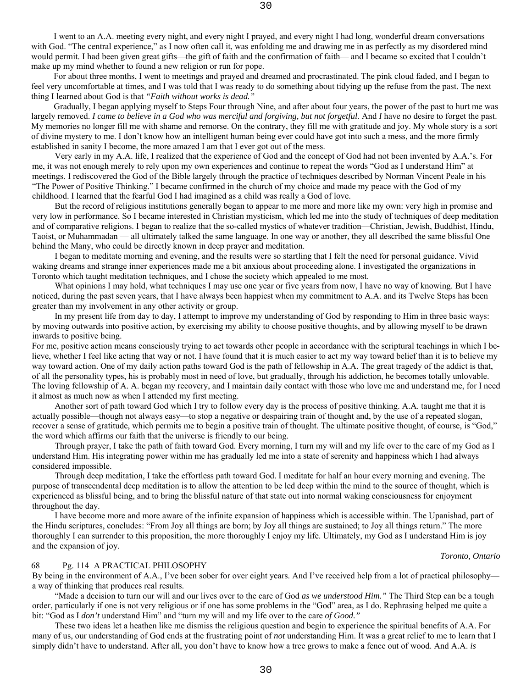I went to an A.A. meeting every night, and every night I prayed, and every night I had long, wonderful dream conversations with God. "The central experience," as I now often call it, was enfolding me and drawing me in as perfectly as my disordered mind would permit. I had been given great gifts—the gift of faith and the confirmation of faith— and I became so excited that I couldn't make up my mind whether to found a new religion or run for pope.

For about three months, I went to meetings and prayed and dreamed and procrastinated. The pink cloud faded, and I began to feel very uncomfortable at times, and I was told that I was ready to do something about tidying up the refuse from the past. The next thing I learned about God is that *"Faith without works is dead."*

Gradually, I began applying myself to Steps Four through Nine, and after about four years, the power of the past to hurt me was largely removed. *I came to believe in a God who was merciful and forgiving, but not forgetful.* And *I* have no desire to forget the past. My memories no longer fill me with shame and remorse. On the contrary, they fill me with gratitude and joy. My whole story is a sort of divine mystery to me. I don't know how an intelligent human being ever could have got into such a mess, and the more firmly established in sanity I become, the more amazed I am that I ever got out of the mess.

Very early in my A.A. life, I realized that the experience of God and the concept of God had not been invented by A.A.'s. For me, it was not enough merely to rely upon my own experiences and continue to repeat the words "God as I understand Him" at meetings. I rediscovered the God of the Bible largely through the practice of techniques described by Norman Vincent Peale in his "The Power of Positive Thinking." I became confirmed in the church of my choice and made my peace with the God of my childhood. I learned that the fearful God I had imagined as a child was really a God of love.

But the record of religious institutions generally began to appear to me more and more like my own: very high in promise and very low in performance. So I became interested in Christian mysticism, which led me into the study of techniques of deep meditation and of comparative religions. I began to realize that the so-called mystics of whatever tradition—Christian, Jewish, Buddhist, Hindu, Taoist, or Muhammadan — all ultimately talked the same language. In one way or another, they all described the same blissful One behind the Many, who could be directly known in deep prayer and meditation.

I began to meditate morning and evening, and the results were so startling that I felt the need for personal guidance. Vivid waking dreams and strange inner experiences made me a bit anxious about proceeding alone. I investigated the organizations in Toronto which taught meditation techniques, and I chose the society which appealed to me most.

What opinions I may hold, what techniques I may use one year or five years from now, I have no way of knowing. But I have noticed, during the past seven years, that I have always been happiest when my commitment to A.A. and its Twelve Steps has been greater than my involvement in any other activity or group.

In my present life from day to day, I attempt to improve my understanding of God by responding to Him in three basic ways: by moving outwards into positive action, by exercising my ability to choose positive thoughts, and by allowing myself to be drawn inwards to positive being.

For me, positive action means consciously trying to act towards other people in accordance with the scriptural teachings in which I believe, whether I feel like acting that way or not. I have found that it is much easier to act my way toward belief than it is to believe my way toward action. One of my daily action paths toward God is the path of fellowship in A.A. The great tragedy of the addict is that, of all the personality types, his is probably most in need of love, but gradually, through his addiction, he becomes totally unlovable. The loving fellowship of A. A. began my recovery, and I maintain daily contact with those who love me and understand me, for I need it almost as much now as when I attended my first meeting.

Another sort of path toward God which I try to follow every day is the process of positive thinking. A.A. taught me that it is actually possible—though not always easy—to stop a negative or despairing train of thought and, by the use of a repeated slogan, recover a sense of gratitude, which permits me to begin a positive train of thought. The ultimate positive thought, of course, is "God," the word which affirms our faith that the universe is friendly to our being.

Through prayer, I take the path of faith toward God. Every morning, I turn my will and my life over to the care of my God as I understand Him. His integrating power within me has gradually led me into a state of serenity and happiness which I had always considered impossible.

Through deep meditation, I take the effortless path toward God. I meditate for half an hour every morning and evening. The purpose of transcendental deep meditation is to allow the attention to be led deep within the mind to the source of thought, which is experienced as blissful being, and to bring the blissful nature of that state out into normal waking consciousness for enjoyment throughout the day.

I have become more and more aware of the infinite expansion of happiness which is accessible within. The Upanishad, part of the Hindu scriptures, concludes: "From Joy all things are born; by Joy all things are sustained; to Joy all things return." The more thoroughly I can surrender to this proposition, the more thoroughly I enjoy my life. Ultimately, my God as I understand Him is joy and the expansion of joy.

### *Toronto, Ontario*

# 68 Pg. 114 A PRACTICAL PHILOSOPHY

By being in the environment of A.A., I've been sober for over eight years. And I've received help from a lot of practical philosophy a way of thinking that produces real results.

"Made a decision to turn our will and our lives over to the care of God *as we understood Him."* The Third Step can be a tough order, particularly if one is not very religious or if one has some problems in the "God" area, as I do. Rephrasing helped me quite a bit: "God as I *don't* understand Him" and "turn my will and my life over to the care *of Good."*

These two ideas let a heathen like me dismiss the religious question and begin to experience the spiritual benefits of A.A. For many of us, our understanding of God ends at the frustrating point of *not* understanding Him. It was a great relief to me to learn that I simply didn't have to understand. After all, you don't have to know how a tree grows to make a fence out of wood. And A.A. *is*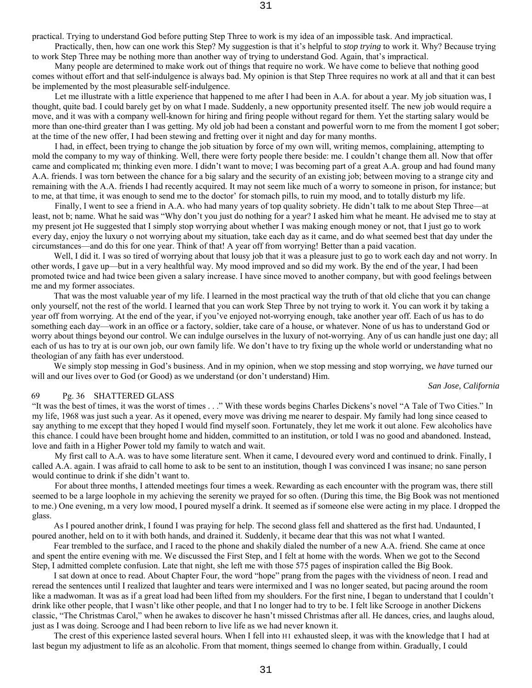Practically, then, how can one work this Step? My suggestion is that it's helpful to *stop trying* to work it. Why? Because trying to work Step Three may be nothing more than another way of trying to understand God. Again, that's impractical.

31

Many people are determined to make work out of things that require no work. We have come to believe that nothing good comes without effort and that self-indulgence is always bad. My opinion is that Step Three requires no work at all and that it can best be implemented by the most pleasurable self-indulgence.

Let me illustrate with a little experience that happened to me after I had been in A.A. for about a year. My job situation was, I thought, quite bad. I could barely get by on what I made. Suddenly, a new opportunity presented itself. The new job would require a move, and it was with a company well-known for hiring and firing people without regard for them. Yet the starting salary would be more than one-third greater than I was getting. My old job had been a constant and powerful worn to me from the moment I got sober; at the time of the new offer, I had been stewing and fretting over it night and day for many months.

I had, in effect, been trying to change the job situation by force of my own will, writing memos, complaining, attempting to mold the company to my way of thinking. Well, there were forty people there beside: me. I couldn't change them all. Now that offer came and complicated m; thinking even more. I didn't want to move; I was becoming part of a great A.A. group and had found many A.A. friends. I was torn between the chance for a big salary and the security of an existing job; between moving to a strange city and remaining with the A.A. friends I had recently acquired. It may not seem like much of a worry to someone in prison, for instance; but to me, at that time, it was enough to send me to the doctor' for stomach pills, to ruin my mood, and to totally disturb my life.

Finally, I went to see a friend in A.A. who had many years of top quality sobriety. He didn't talk to me about Step Three—at least, not b; name. What he said was "Why don't you just do nothing for a year? I asked him what he meant. He advised me to stay at my present jot He suggested that I simply stop worrying about whether I was making enough money or not, that I just go to work every day, enjoy the luxury o not worrying about my situation, take each day as it came, and do what seemed best that day under the circumstances—and do this for one year. Think of that! A year off from worrying! Better than a paid vacation.

Well, I did it. I was so tired of worrying about that lousy job that it was a pleasure just to go to work each day and not worry. In other words, I gave up—but in a very healthful way. My mood improved and so did my work. By the end of the year, I had been promoted twice and had twice been given a salary increase. I have since moved to another company, but with good feelings between me and my former associates.

That was the most valuable year of my life. I learned in the most practical way the truth of that old cliche that you can change only yourself, not the rest of the world. I learned that you can work Step Three by not trying to work it. You can work it by taking a year off from worrying. At the end of the year, if you've enjoyed not-worrying enough, take another year off. Each of us has to do something each day—work in an office or a factory, soldier, take care of a house, or whatever. None of us has to understand God or worry about things beyond our control. We can indulge ourselves in the luxury of not-worrying. Any of us can handle just one day; all each of us has to try at is our own job, our own family life. We don't have to try fixing up the whole world or understanding what no theologian of any faith has ever understood.

We simply stop messing in God's business. And in my opinion, when we stop messing and stop worrying, we *have* turned our will and our lives over to God (or Good) as we understand (or don't understand) Him.

*San Jose, California* 

## 69 Pg. 36 SHATTERED GLASS

"It was the best of times, it was the worst of times . . ." With these words begins Charles Dickens's novel "A Tale of Two Cities." In my life, 1968 was just such a year. As it opened, every move was driving me nearer to despair. My family had long since ceased to say anything to me except that they hoped I would find myself soon. Fortunately, they let me work it out alone. Few alcoholics have this chance. I could have been brought home and hidden, committed to an institution, or told I was no good and abandoned. Instead, love and faith in a Higher Power told my family to watch and wait.

My first call to A.A. was to have some literature sent. When it came, I devoured every word and continued to drink. Finally, I called A.A. again. I was afraid to call home to ask to be sent to an institution, though I was convinced I was insane; no sane person would continue to drink if she didn't want to.

For about three months, I attended meetings four times a week. Rewarding as each encounter with the program was, there still seemed to be a large loophole in my achieving the serenity we prayed for so often. (During this time, the Big Book was not mentioned to me.) One evening, m a very low mood, I poured myself a drink. It seemed as if someone else were acting in my place. I dropped the glass.

As I poured another drink, I found I was praying for help. The second glass fell and shattered as the first had. Undaunted, I poured another, held on to it with both hands, and drained it. Suddenly, it became dear that this was not what I wanted.

Fear trembled to the surface, and I raced to the phone and shakily dialed the number of a new A.A. friend. She came at once and spent the entire evening with me. We discussed the First Step, and I felt at home with the words. When we got to the Second Step, I admitted complete confusion. Late that night, she left me with those 575 pages of inspiration called the Big Book.

I sat down at once to read. About Chapter Four, the word "hope" prang from the pages with the vividness of neon. I read and reread the sentences until I realized that laughter and tears were intermixed and I was no longer seated, but pacing around the room like a madwoman. It was as if a great load had been lifted from my shoulders. For the first nine, I began to understand that I couldn't drink like other people, that I wasn't like other people, and that I no longer had to try to be. I felt like Scrooge in another Dickens classic, "The Christmas Carol," when he awakes to discover he hasn't missed Christmas after all. He dances, cries, and laughs aloud, just as I was doing. Scrooge and I had been reborn to live life as we had never known it.

The crest of this experience lasted several hours. When I fell into HI exhausted sleep, it was with the knowledge that I had at last begun my adjustment to life as an alcoholic. From that moment, things seemed lo change from within. Gradually, I could

31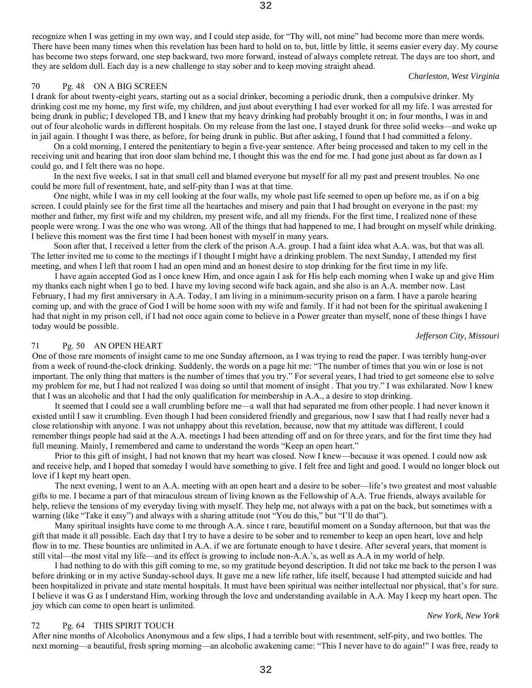recognize when I was getting in my own way, and I could step aside, for "Thy will, not mine" had become more than mere words. There have been many times when this revelation has been hard to hold on to, but, little by little, it seems easier every day. My course has become two steps forward, one step backward, two more forward, instead of always complete retreat. The days are too short, and they are seldom dull. Each day is a new challenge to stay sober and to keep moving straight ahead.

## *Charleston, West Virginia*

# 70 Pg. 48 ON A BIG SCREEN

I drank for about twenty-eight years, starting out as a social drinker, becoming a periodic drunk, then a compulsive drinker. My drinking cost me my home, my first wife, my children, and just about everything I had ever worked for all my life. I was arrested for being drunk in public; I developed TB, and I knew that my heavy drinking had probably brought it on; in four months, I was in and out of four alcoholic wards in different hospitals. On my release from the last one, I stayed drunk for three solid weeks—and woke up in jail again. I thought I was there, as before, for being drunk in public. But after asking, I found that I had committed a felony.

On a cold morning, I entered the penitentiary to begin a five-year sentence. After being processed and taken to my cell in the receiving unit and hearing that iron door slam behind me, I thought this was the end for me. I had gone just about as far down as I could go, and I felt there was no hope.

In the next five weeks, I sat in that small cell and blamed everyone but myself for all my past and present troubles. No one could be more full of resentment, hate, and self-pity than I was at that time.

One night, while I was in my cell looking at the four walls, my whole past life seemed to open up before me, as if on a big screen. I could plainly see for the first time all the heartaches and misery and pain that I had brought on everyone in the past: my mother and father, my first wife and my children, my present wife, and all my friends. For the first time, I realized none of these people were wrong. I was the one who was wrong. All of the things that had happened to me, I had brought on myself while drinking. I believe this moment was the first time I had been honest with myself in many years.

Soon after that, I received a letter from the clerk of the prison A.A. group. I had a faint idea what A.A. was, but that was all. The letter invited me to come to the meetings if I thought I might have a drinking problem. The next Sunday, I attended my first meeting, and when I left that room I had an open mind and an honest desire to stop drinking for the first time in my life.

I have again accepted God as I once knew Him, and once again I ask for His help each morning when I wake up and give Him my thanks each night when I go to bed. I have my loving second wife back again, and she also is an A.A. member now. Last February, I had my first anniversary in A.A. Today, I am living in a minimum-security prison on a farm. I have a parole hearing coming up, and with the grace of God I will be home soon with my wife and family. If it had not been for the spiritual awakening I had that night in my prison cell, if I had not once again come to believe in a Power greater than myself, none of these things I have today would be possible.

### *Jefferson City, Missouri*

# 71 Pg. 50 AN OPEN HEART

One of those rare moments of insight came to me one Sunday afternoon, as I was trying to read the paper. I was terribly hung-over from a week of round-the-clock drinking. Suddenly, the words on a page hit me: "The number of times that you win or lose is not important. The only thing that matters is the number of times that you try." For several years, I had tried to get someone else to solve my problem for me, but I had not realized I was doing so until that moment of insight . That *you* try." I was exhilarated. Now I knew that I was an alcoholic and that I had the only qualification for membership in A.A., a desire to stop drinking.

It seemed that I could see a wall crumbling before me—a wall that had separated me from other people. I had never known it existed until I saw it crumbling. Even though I had been considered friendly and gregarious, now I saw that I had really never had a close relationship with anyone. I was not unhappy about this revelation, because, now that my attitude was different, I could remember things people had said at the A.A. meetings I had been attending off and on for three years, and for the first time they had full meaning. Mainly, I remembered and came to understand the words "Keep an open heart."

Prior to this gift of insight, I had not known that my heart was closed. Now I knew—because it was opened. I could now ask and receive help, and I hoped that someday I would have something to give. I felt free and light and good. I would no longer block out love if I kept my heart open.

The next evening, I went to an A.A. meeting with an open heart and a desire to be sober—life's two greatest and most valuable gifts to me. I became a part of that miraculous stream of living known as the Fellowship of A.A. True friends, always available for help, relieve the tensions of my everyday living with myself. They help me, not always with a pat on the back, but sometimes with a warning (like "Take it easy") and always with a sharing attitude (not "You do this," but "I'll do that").

Many spiritual insights have come to me through A.A. since t rare, beautiful moment on a Sunday afternoon, but that was the gift that made it all possible. Each day that I try to have a desire to be sober and to remember to keep an open heart, love and help flow in to me. These bounties are unlimited in A.A. if we are fortunate enough to have t desire. After several years, that moment is still vital—the most vital my life—and its effect is growing to include non-A.A.'s, as well as A.A in my world of help.

I had nothing to do with this gift coming to me, so my gratitude beyond description. It did not take me back to the person I was before drinking or in my active Sunday-school days. It gave me a new life rather, life itself, because I had attempted suicide and had been hospitalized in private and state mental hospitals. It must have been spiritual was neither intellectual nor physical, that's for sure. I believe it was G as I understand Him, working through the love and understanding available in A.A. May I keep my heart open. The joy which can come to open heart is unlimited.

### *New York, New York*

# 72 Pg. 64 THIS SPIRIT TOUCH

After nine months of Alcoholics Anonymous and a few slips, I had a terrible bout with resentment, self-pity, and two bottles. The next morning—a beautiful, fresh spring morning—an alcoholic awakening came: "This I never have to do again!" I was free, ready to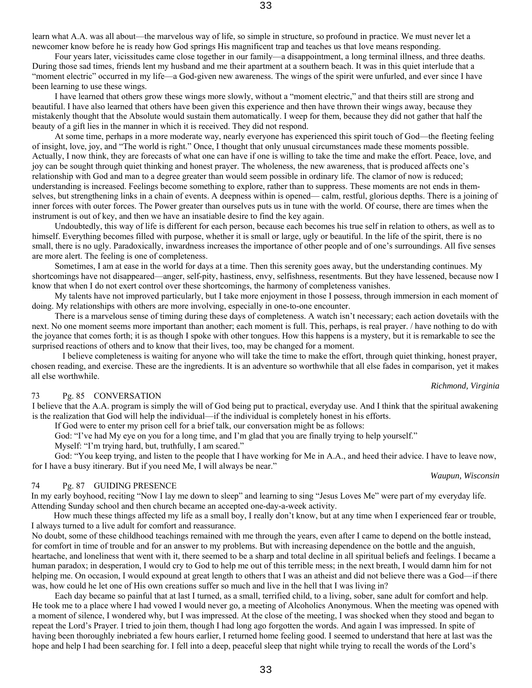learn what A.A. was all about—the marvelous way of life, so simple in structure, so profound in practice. We must never let a newcomer know before he is ready how God springs His magnificent trap and teaches us that love means responding.

Four years later, vicissitudes came close together in our family—a disappointment, a long terminal illness, and three deaths. During those sad times, friends lent my husband and me their apartment at a southern beach. It was in this quiet interlude that a "moment electric" occurred in my life—a God-given new awareness. The wings of the spirit were unfurled, and ever since I have been learning to use these wings.

I have learned that others grow these wings more slowly, without a "moment electric," and that theirs still are strong and beautiful. I have also learned that others have been given this experience and then have thrown their wings away, because they mistakenly thought that the Absolute would sustain them automatically. I weep for them, because they did not gather that half the beauty of a gift lies in the manner in which it is received. They did not respond.

At some time, perhaps in a more moderate way, nearly everyone has experienced this spirit touch of God—the fleeting feeling of insight, love, joy, and "The world is right." Once, I thought that only unusual circumstances made these moments possible. Actually, I now think, they are forecasts of what one can have if one is willing to take the time and make the effort. Peace, love, and joy can be sought through quiet thinking and honest prayer. The wholeness, the new awareness, that is produced affects one's relationship with God and man to a degree greater than would seem possible in ordinary life. The clamor of now is reduced; understanding is increased. Feelings become something to explore, rather than to suppress. These moments are not ends in themselves, but strengthening links in a chain of events. A deepness within is opened— calm, restful, glorious depths. There is a joining of inner forces with outer forces. The Power greater than ourselves puts us in tune with the world. Of course, there are times when the instrument is out of key, and then we have an insatiable desire to find the key again.

Undoubtedly, this way of life is different for each person, because each becomes his true self in relation to others, as well as to himself. Everything becomes filled with purpose, whether it is small or large, ugly or beautiful. In the life of the spirit, there is no small, there is no ugly. Paradoxically, inwardness increases the importance of other people and of one's surroundings. All five senses are more alert. The feeling is one of completeness.

Sometimes, I am at ease in the world for days at a time. Then this serenity goes away, but the understanding continues. My shortcomings have not disappeared—anger, self-pity, hastiness, envy, selfishness, resentments. But they have lessened, because now I know that when I do not exert control over these shortcomings, the harmony of completeness vanishes.

My talents have not improved particularly, but I take more enjoyment in those I possess, through immersion in each moment of doing. My relationships with others are more involving, especially in one-to-one encounter.

There is a marvelous sense of timing during these days of completeness. A watch isn't necessary; each action dovetails with the next. No one moment seems more important than another; each moment is full. This, perhaps, is real prayer. / have nothing to do with the joyance that comes forth; it is as though I spoke with other tongues. How this happens is a mystery, but it is remarkable to see the surprised reactions of others and to know that their lives, too, may be changed for a moment.

I believe completeness is waiting for anyone who will take the time to make the effort, through quiet thinking, honest prayer, chosen reading, and exercise. These are the ingredients. It is an adventure so worthwhile that all else fades in comparison, yet it makes all else worthwhile.

# 73 Pg. 85 CONVERSATION

I believe that the A.A. program is simply the will of God being put to practical, everyday use. And I think that the spiritual awakening is the realization that God will help the individual—if the individual is completely honest in his efforts.

If God were to enter my prison cell for a brief talk, our conversation might be as follows:

God: "I've had My eye on you for a long time, and I'm glad that you are finally trying to help yourself."

Myself: "I'm trying hard, but, truthfully, I am scared."

God: "You keep trying, and listen to the people that I have working for Me in A.A., and heed their advice. I have to leave now, for I have a busy itinerary. But if you need Me, I will always be near."

### 74 Pg. 87 GUIDING PRESENCE

In my early boyhood, reciting "Now I lay me down to sleep" and learning to sing "Jesus Loves Me" were part of my everyday life. Attending Sunday school and then church became an accepted one-day-a-week activity.

How much these things affected my life as a small boy, I really don't know, but at any time when I experienced fear or trouble, I always turned to a live adult for comfort and reassurance.

No doubt, some of these childhood teachings remained with me through the years, even after I came to depend on the bottle instead, for comfort in time of trouble and for an answer to my problems. But with increasing dependence on the bottle and the anguish, heartache, and loneliness that went with it, there seemed to be a sharp and total decline in all spiritual beliefs and feelings. I became a human paradox; in desperation, I would cry to God to help me out of this terrible mess; in the next breath, I would damn him for not helping me. On occasion, I would expound at great length to others that I was an atheist and did not believe there was a God—if there was, how could he let one of His own creations suffer so much and live in the hell that I was living in?

Each day became so painful that at last I turned, as a small, terrified child, to a living, sober, sane adult for comfort and help. He took me to a place where I had vowed I would never go, a meeting of Alcoholics Anonymous. When the meeting was opened with a moment of silence, I wondered why, but I was impressed. At the close of the meeting, I was shocked when they stood and began to repeat the Lord's Prayer. I tried to join them, though I had long ago forgotten the words. And again I was impressed. In spite of having been thoroughly inebriated a few hours earlier, I returned home feeling good. I seemed to understand that here at last was the hope and help I had been searching for. I fell into a deep, peaceful sleep that night while trying to recall the words of the Lord's

33

*Waupun, Wisconsin* 

# *Richmond, Virginia*